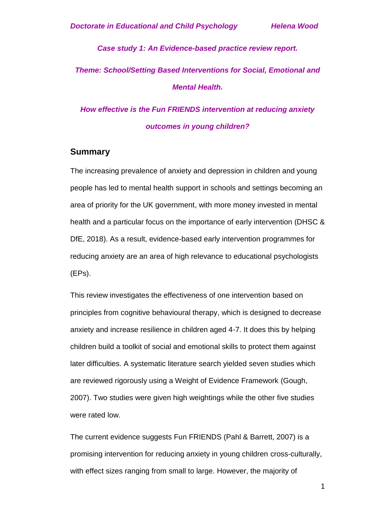*Case study 1: An Evidence-based practice review report. Theme: School/Setting Based Interventions for Social, Emotional and Mental Health.*

*How effective is the Fun FRIENDS intervention at reducing anxiety outcomes in young children?*

### **Summary**

The increasing prevalence of anxiety and depression in children and young people has led to mental health support in schools and settings becoming an area of priority for the UK government, with more money invested in mental health and a particular focus on the importance of early intervention (DHSC & DfE, 2018). As a result, evidence-based early intervention programmes for reducing anxiety are an area of high relevance to educational psychologists (EPs).

This review investigates the effectiveness of one intervention based on principles from cognitive behavioural therapy, which is designed to decrease anxiety and increase resilience in children aged 4-7. It does this by helping children build a toolkit of social and emotional skills to protect them against later difficulties. A systematic literature search yielded seven studies which are reviewed rigorously using a Weight of Evidence Framework (Gough, 2007). Two studies were given high weightings while the other five studies were rated low.

The current evidence suggests Fun FRIENDS (Pahl & Barrett, 2007) is a promising intervention for reducing anxiety in young children cross-culturally, with effect sizes ranging from small to large. However, the majority of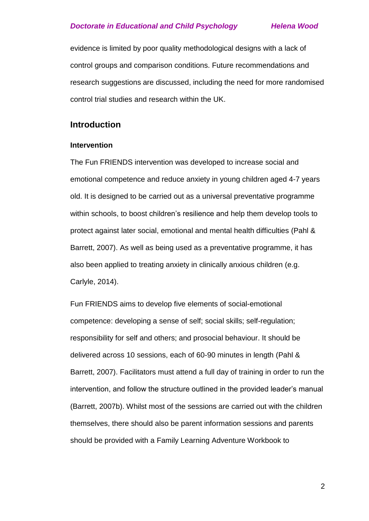evidence is limited by poor quality methodological designs with a lack of control groups and comparison conditions. Future recommendations and research suggestions are discussed, including the need for more randomised control trial studies and research within the UK.

# **Introduction**

### **Intervention**

The Fun FRIENDS intervention was developed to increase social and emotional competence and reduce anxiety in young children aged 4-7 years old. It is designed to be carried out as a universal preventative programme within schools, to boost children's resilience and help them develop tools to protect against later social, emotional and mental health difficulties (Pahl & Barrett, 2007). As well as being used as a preventative programme, it has also been applied to treating anxiety in clinically anxious children (e.g. Carlyle, 2014).

Fun FRIENDS aims to develop five elements of social-emotional competence: developing a sense of self; social skills; self-regulation; responsibility for self and others; and prosocial behaviour. It should be delivered across 10 sessions, each of 60-90 minutes in length (Pahl & Barrett, 2007). Facilitators must attend a full day of training in order to run the intervention, and follow the structure outlined in the provided leader's manual (Barrett, 2007b). Whilst most of the sessions are carried out with the children themselves, there should also be parent information sessions and parents should be provided with a Family Learning Adventure Workbook to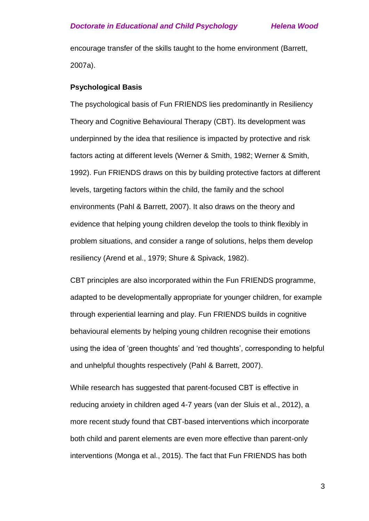encourage transfer of the skills taught to the home environment (Barrett, 2007a).

### **Psychological Basis**

The psychological basis of Fun FRIENDS lies predominantly in Resiliency Theory and Cognitive Behavioural Therapy (CBT). Its development was underpinned by the idea that resilience is impacted by protective and risk factors acting at different levels (Werner & Smith, 1982; Werner & Smith, 1992). Fun FRIENDS draws on this by building protective factors at different levels, targeting factors within the child, the family and the school environments (Pahl & Barrett, 2007). It also draws on the theory and evidence that helping young children develop the tools to think flexibly in problem situations, and consider a range of solutions, helps them develop resiliency (Arend et al., 1979; Shure & Spivack, 1982).

CBT principles are also incorporated within the Fun FRIENDS programme, adapted to be developmentally appropriate for younger children, for example through experiential learning and play. Fun FRIENDS builds in cognitive behavioural elements by helping young children recognise their emotions using the idea of 'green thoughts' and 'red thoughts', corresponding to helpful and unhelpful thoughts respectively (Pahl & Barrett, 2007).

While research has suggested that parent-focused CBT is effective in reducing anxiety in children aged 4-7 years (van der Sluis et al., 2012), a more recent study found that CBT-based interventions which incorporate both child and parent elements are even more effective than parent-only interventions (Monga et al., 2015). The fact that Fun FRIENDS has both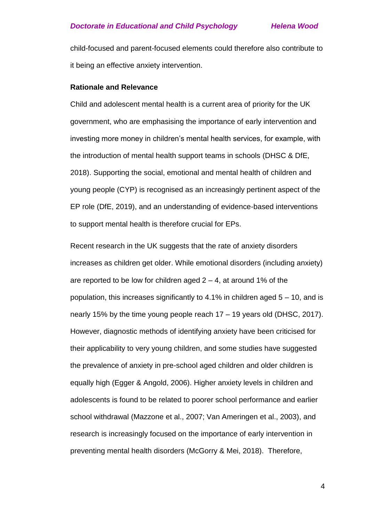child-focused and parent-focused elements could therefore also contribute to it being an effective anxiety intervention.

### **Rationale and Relevance**

Child and adolescent mental health is a current area of priority for the UK government, who are emphasising the importance of early intervention and investing more money in children's mental health services, for example, with the introduction of mental health support teams in schools (DHSC & DfE, 2018). Supporting the social, emotional and mental health of children and young people (CYP) is recognised as an increasingly pertinent aspect of the EP role (DfE, 2019), and an understanding of evidence-based interventions to support mental health is therefore crucial for EPs.

Recent research in the UK suggests that the rate of anxiety disorders increases as children get older. While emotional disorders (including anxiety) are reported to be low for children aged  $2 - 4$ , at around 1% of the population, this increases significantly to 4.1% in children aged  $5 - 10$ , and is nearly 15% by the time young people reach 17 – 19 years old (DHSC, 2017). However, diagnostic methods of identifying anxiety have been criticised for their applicability to very young children, and some studies have suggested the prevalence of anxiety in pre-school aged children and older children is equally high (Egger & Angold, 2006). Higher anxiety levels in children and adolescents is found to be related to poorer school performance and earlier school withdrawal (Mazzone et al., 2007; Van Ameringen et al., 2003), and research is increasingly focused on the importance of early intervention in preventing mental health disorders (McGorry & Mei, 2018). Therefore,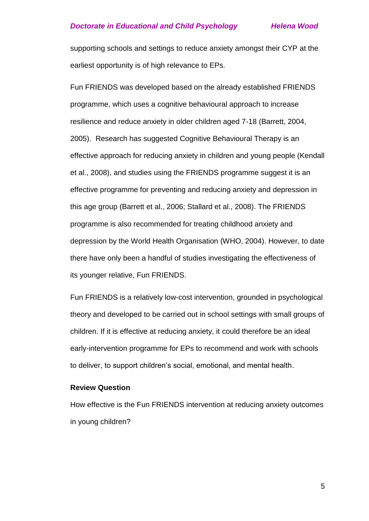supporting schools and settings to reduce anxiety amongst their CYP at the earliest opportunity is of high relevance to EPs.

Fun FRIENDS was developed based on the already established FRIENDS programme, which uses a cognitive behavioural approach to increase resilience and reduce anxiety in older children aged 7-18 (Barrett, 2004, 2005). Research has suggested Cognitive Behavioural Therapy is an effective approach for reducing anxiety in children and young people (Kendall et al., 2008), and studies using the FRIENDS programme suggest it is an effective programme for preventing and reducing anxiety and depression in this age group (Barrett et al., 2006; Stallard et al., 2008). The FRIENDS programme is also recommended for treating childhood anxiety and depression by the World Health Organisation (WHO, 2004). However, to date there have only been a handful of studies investigating the effectiveness of its younger relative, Fun FRIENDS.

Fun FRIENDS is a relatively low-cost intervention, grounded in psychological theory and developed to be carried out in school settings with small groups of children. If it is effective at reducing anxiety, it could therefore be an ideal early-intervention programme for EPs to recommend and work with schools to deliver, to support children's social, emotional, and mental health.

### **Review Question**

How effective is the Fun FRIENDS intervention at reducing anxiety outcomes in young children?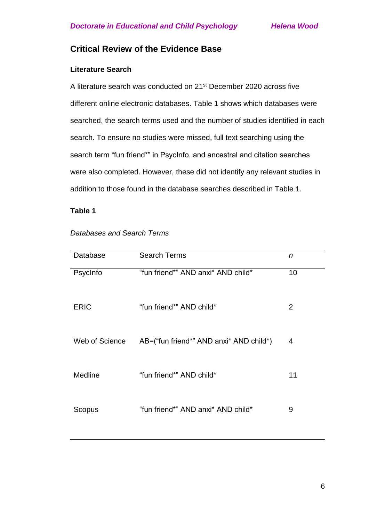# **Critical Review of the Evidence Base**

# **Literature Search**

A literature search was conducted on 21st December 2020 across five different online electronic databases. Table 1 shows which databases were searched, the search terms used and the number of studies identified in each search. To ensure no studies were missed, full text searching using the search term "fun friend\*" in PsycInfo, and ancestral and citation searches were also completed. However, these did not identify any relevant studies in addition to those found in the database searches described in Table 1.

### **Table 1**

| Database       | <b>Search Terms</b>                     | n  |
|----------------|-----------------------------------------|----|
| PsycInfo       | "fun friend*" AND anxi* AND child*      | 10 |
| <b>ERIC</b>    | "fun friend*" AND child*                | 2  |
| Web of Science | AB=("fun friend*" AND anxi* AND child*) | 4  |
| Medline        | "fun friend*" AND child*                | 11 |
| Scopus         | "fun friend*" AND anxi* AND child*      | 9  |

*Databases and Search Terms*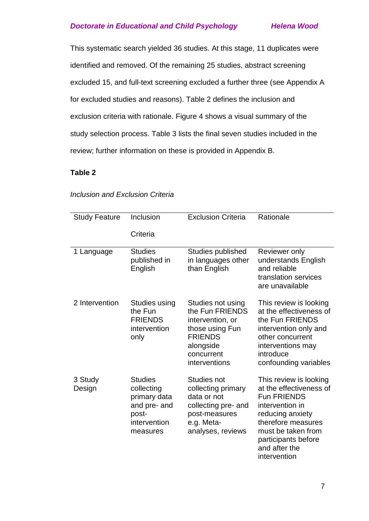This systematic search yielded 36 studies. At this stage, 11 duplicates were identified and removed. Of the remaining 25 studies, abstract screening excluded 15, and full-text screening excluded a further three (see Appendix A for excluded studies and reasons). Table 2 defines the inclusion and exclusion criteria with rationale. Figure 4 shows a visual summary of the study selection process. Table 3 lists the final seven studies included in the review; further information on these is provided in Appendix B.

# **Table 2**

| <b>Study Feature</b> | Inclusion<br>Criteria                                                                             | <b>Exclusion Criteria</b>                                                                                                                 | Rationale                                                                                                                                                                                                          |
|----------------------|---------------------------------------------------------------------------------------------------|-------------------------------------------------------------------------------------------------------------------------------------------|--------------------------------------------------------------------------------------------------------------------------------------------------------------------------------------------------------------------|
| 1 Language           | <b>Studies</b><br>published in<br>English                                                         | Studies published<br>in languages other<br>than English                                                                                   | Reviewer only<br>understands English<br>and reliable<br>translation services<br>are unavailable                                                                                                                    |
| 2 Intervention       | Studies using<br>the Fun<br><b>FRIENDS</b><br>intervention<br>only                                | Studies not using<br>the Fun FRIENDS<br>intervention, or<br>those using Fun<br><b>FRIENDS</b><br>alongside<br>concurrent<br>interventions | This review is looking<br>at the effectiveness of<br>the Fun FRIENDS<br>intervention only and<br>other concurrent<br>interventions may<br>introduce<br>confounding variables                                       |
| 3 Study<br>Design    | <b>Studies</b><br>collecting<br>primary data<br>and pre- and<br>post-<br>intervention<br>measures | Studies not<br>collecting primary<br>data or not<br>collecting pre- and<br>post-measures<br>e.g. Meta-<br>analyses, reviews               | This review is looking<br>at the effectiveness of<br><b>Fun FRIENDS</b><br>intervention in<br>reducing anxiety<br>therefore measures<br>must be taken from<br>participants before<br>and after the<br>intervention |

# *Inclusion and Exclusion Criteria*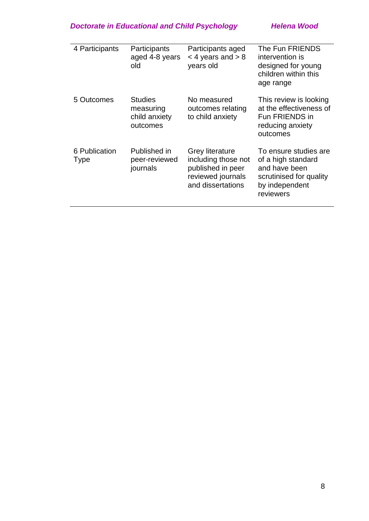| 4 Participants               | Participants<br>aged 4-8 years<br>old                    | Participants aged<br>$<$ 4 years and $>$ 8<br>years old                                                      | The Fun FRIENDS<br>intervention is<br>designed for young<br>children within this<br>age range                          |
|------------------------------|----------------------------------------------------------|--------------------------------------------------------------------------------------------------------------|------------------------------------------------------------------------------------------------------------------------|
| 5 Outcomes                   | <b>Studies</b><br>measuring<br>child anxiety<br>outcomes | No measured<br>outcomes relating<br>to child anxiety                                                         | This review is looking<br>at the effectiveness of<br>Fun FRIENDS in<br>reducing anxiety<br>outcomes                    |
| 6 Publication<br><b>Type</b> | Published in<br>peer-reviewed<br>journals                | <b>Grey literature</b><br>including those not<br>published in peer<br>reviewed journals<br>and dissertations | To ensure studies are<br>of a high standard<br>and have been<br>scrutinised for quality<br>by independent<br>reviewers |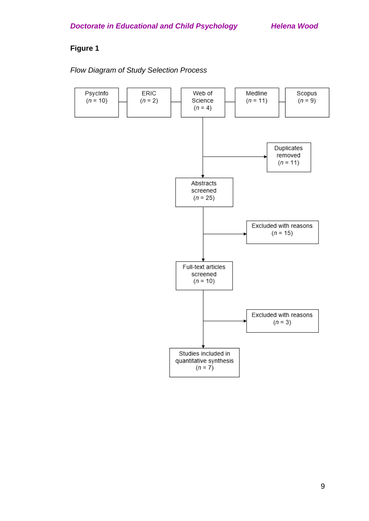# **Figure 1**

# *Flow Diagram of Study Selection Process*

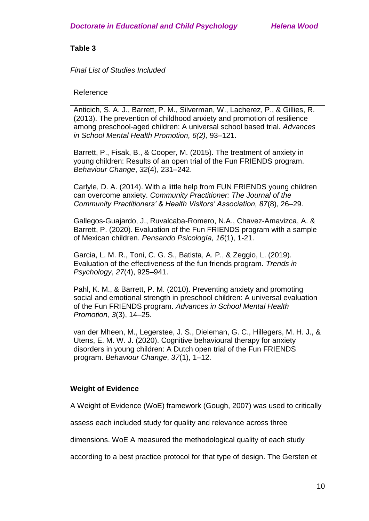### *Final List of Studies Included*

### Reference

Anticich, S. A. J., Barrett, P. M., Silverman, W., Lacherez, P., & Gillies, R. (2013). The prevention of childhood anxiety and promotion of resilience among preschool-aged children: A universal school based trial. *Advances in School Mental Health Promotion, 6(2),* 93–121.

Barrett, P., Fisak, B., & Cooper, M. (2015). The treatment of anxiety in young children: Results of an open trial of the Fun FRIENDS program. *Behaviour Change*, *32*(4), 231–242.

Carlyle, D. A. (2014). With a little help from FUN FRIENDS young children can overcome anxiety. *Community Practitioner: The Journal of the Community Practitioners' & Health Visitors' Association, 87*(8), 26–29.

Gallegos-Guajardo, J., Ruvalcaba-Romero, N.A., Chavez-Amavizca, A. & Barrett, P. (2020). Evaluation of the Fun FRIENDS program with a sample of Mexican children. *Pensando Psicología, 16*(1), 1-21.

Garcia, L. M. R., Toni, C. G. S., Batista, A. P., & Zeggio, L. (2019). Evaluation of the effectiveness of the fun friends program. *Trends in Psychology*, *27*(4), 925–941.

Pahl, K. M., & Barrett, P. M. (2010). Preventing anxiety and promoting social and emotional strength in preschool children: A universal evaluation of the Fun FRIENDS program. *Advances in School Mental Health Promotion, 3*(3), 14–25.

van der Mheen, M., Legerstee, J. S., Dieleman, G. C., Hillegers, M. H. J., & Utens, E. M. W. J. (2020). Cognitive behavioural therapy for anxiety disorders in young children: A Dutch open trial of the Fun FRIENDS program. *Behaviour Change*, *37*(1), 1–12.

### **Weight of Evidence**

A Weight of Evidence (WoE) framework (Gough, 2007) was used to critically

assess each included study for quality and relevance across three

dimensions. WoE A measured the methodological quality of each study

according to a best practice protocol for that type of design. The Gersten et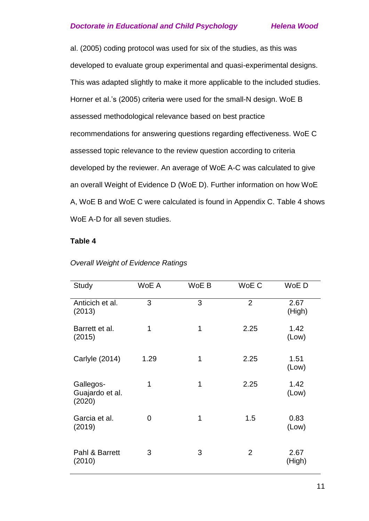al. (2005) coding protocol was used for six of the studies, as this was developed to evaluate group experimental and quasi-experimental designs. This was adapted slightly to make it more applicable to the included studies. Horner et al.'s (2005) criteria were used for the small-N design. WoE B assessed methodological relevance based on best practice recommendations for answering questions regarding effectiveness. WoE C assessed topic relevance to the review question according to criteria developed by the reviewer. An average of WoE A-C was calculated to give an overall Weight of Evidence D (WoE D). Further information on how WoE A, WoE B and WoE C were calculated is found in Appendix C. Table 4 shows WoE A-D for all seven studies.

### **Table 4**

| Study                                  | WoE A | WoE B          | WoE C          | WoE D          |
|----------------------------------------|-------|----------------|----------------|----------------|
| Anticich et al.<br>(2013)              | 3     | 3              | $\overline{2}$ | 2.67<br>(High) |
| Barrett et al.<br>(2015)               | 1     | 1              | 2.25           | 1.42<br>(Low)  |
| Carlyle (2014)                         | 1.29  | 1              | 2.25           | 1.51<br>(Low)  |
| Gallegos-<br>Guajardo et al.<br>(2020) | 1     | $\overline{1}$ | 2.25           | 1.42<br>(Low)  |
| Garcia et al.<br>(2019)                | 0     | 1              | 1.5            | 0.83<br>(Low)  |
| Pahl & Barrett<br>(2010)               | 3     | 3              | $\overline{2}$ | 2.67<br>(High) |

### *Overall Weight of Evidence Ratings*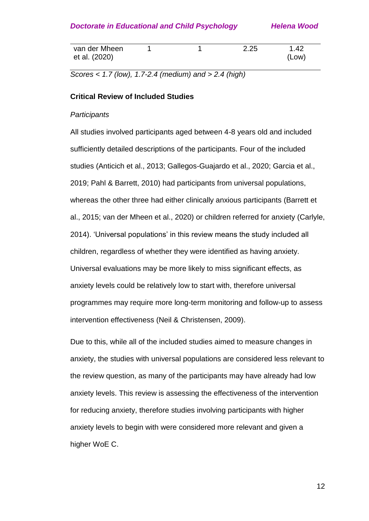| van der Mheen |  | 2.25 | 1.42  |
|---------------|--|------|-------|
| et al. (2020) |  |      | (Low) |

*Scores < 1.7 (low), 1.7-2.4 (medium) and > 2.4 (high)*

#### **Critical Review of Included Studies**

### *Participants*

All studies involved participants aged between 4-8 years old and included sufficiently detailed descriptions of the participants. Four of the included studies (Anticich et al., 2013; Gallegos-Guajardo et al., 2020; Garcia et al., 2019; Pahl & Barrett, 2010) had participants from universal populations, whereas the other three had either clinically anxious participants (Barrett et al., 2015; van der Mheen et al., 2020) or children referred for anxiety (Carlyle, 2014). 'Universal populations' in this review means the study included all children, regardless of whether they were identified as having anxiety. Universal evaluations may be more likely to miss significant effects, as anxiety levels could be relatively low to start with, therefore universal programmes may require more long-term monitoring and follow-up to assess intervention effectiveness (Neil & Christensen, 2009).

Due to this, while all of the included studies aimed to measure changes in anxiety, the studies with universal populations are considered less relevant to the review question, as many of the participants may have already had low anxiety levels. This review is assessing the effectiveness of the intervention for reducing anxiety, therefore studies involving participants with higher anxiety levels to begin with were considered more relevant and given a higher WoE C.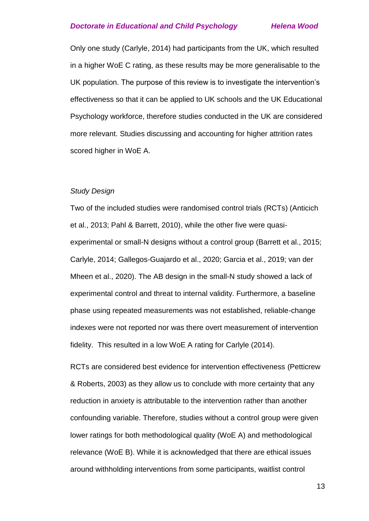Only one study (Carlyle, 2014) had participants from the UK, which resulted in a higher WoE C rating, as these results may be more generalisable to the UK population. The purpose of this review is to investigate the intervention's effectiveness so that it can be applied to UK schools and the UK Educational Psychology workforce, therefore studies conducted in the UK are considered more relevant. Studies discussing and accounting for higher attrition rates scored higher in WoE A.

#### *Study Design*

Two of the included studies were randomised control trials (RCTs) (Anticich et al., 2013; Pahl & Barrett, 2010), while the other five were quasiexperimental or small-N designs without a control group (Barrett et al., 2015; Carlyle, 2014; Gallegos-Guajardo et al., 2020; Garcia et al., 2019; van der Mheen et al., 2020). The AB design in the small-N study showed a lack of experimental control and threat to internal validity. Furthermore, a baseline phase using repeated measurements was not established, reliable-change indexes were not reported nor was there overt measurement of intervention fidelity. This resulted in a low WoE A rating for Carlyle (2014).

RCTs are considered best evidence for intervention effectiveness (Petticrew & Roberts, 2003) as they allow us to conclude with more certainty that any reduction in anxiety is attributable to the intervention rather than another confounding variable. Therefore, studies without a control group were given lower ratings for both methodological quality (WoE A) and methodological relevance (WoE B). While it is acknowledged that there are ethical issues around withholding interventions from some participants, waitlist control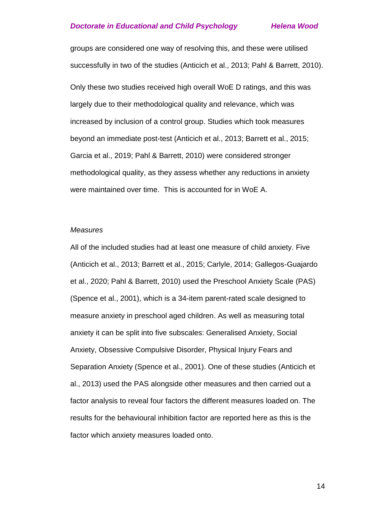groups are considered one way of resolving this, and these were utilised successfully in two of the studies (Anticich et al., 2013; Pahl & Barrett, 2010).

Only these two studies received high overall WoE D ratings, and this was largely due to their methodological quality and relevance, which was increased by inclusion of a control group. Studies which took measures beyond an immediate post-test (Anticich et al., 2013; Barrett et al., 2015; Garcia et al., 2019; Pahl & Barrett, 2010) were considered stronger methodological quality, as they assess whether any reductions in anxiety were maintained over time. This is accounted for in WoE A.

#### *Measures*

All of the included studies had at least one measure of child anxiety. Five (Anticich et al., 2013; Barrett et al., 2015; Carlyle, 2014; Gallegos-Guajardo et al., 2020; Pahl & Barrett, 2010) used the Preschool Anxiety Scale (PAS) (Spence et al., 2001), which is a 34-item parent-rated scale designed to measure anxiety in preschool aged children. As well as measuring total anxiety it can be split into five subscales: Generalised Anxiety, Social Anxiety, Obsessive Compulsive Disorder, Physical Injury Fears and Separation Anxiety (Spence et al., 2001). One of these studies (Anticich et al., 2013) used the PAS alongside other measures and then carried out a factor analysis to reveal four factors the different measures loaded on. The results for the behavioural inhibition factor are reported here as this is the factor which anxiety measures loaded onto.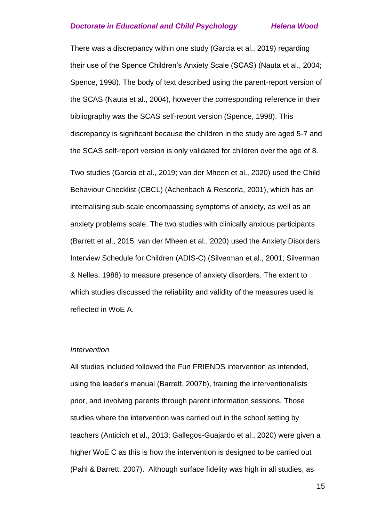There was a discrepancy within one study (Garcia et al., 2019) regarding their use of the Spence Children's Anxiety Scale (SCAS) (Nauta et al., 2004; Spence, 1998). The body of text described using the parent-report version of the SCAS (Nauta et al., 2004), however the corresponding reference in their bibliography was the SCAS self-report version (Spence, 1998). This discrepancy is significant because the children in the study are aged 5-7 and the SCAS self-report version is only validated for children over the age of 8.

Two studies (Garcia et al., 2019; van der Mheen et al., 2020) used the Child Behaviour Checklist (CBCL) (Achenbach & Rescorla, 2001), which has an internalising sub-scale encompassing symptoms of anxiety, as well as an anxiety problems scale. The two studies with clinically anxious participants (Barrett et al., 2015; van der Mheen et al., 2020) used the Anxiety Disorders Interview Schedule for Children (ADIS-C) (Silverman et al., 2001; Silverman & Nelles, 1988) to measure presence of anxiety disorders. The extent to which studies discussed the reliability and validity of the measures used is reflected in WoE A.

### *Intervention*

All studies included followed the Fun FRIENDS intervention as intended, using the leader's manual (Barrett, 2007b), training the interventionalists prior, and involving parents through parent information sessions. Those studies where the intervention was carried out in the school setting by teachers (Anticich et al., 2013; Gallegos-Guajardo et al., 2020) were given a higher WoE C as this is how the intervention is designed to be carried out (Pahl & Barrett, 2007). Although surface fidelity was high in all studies, as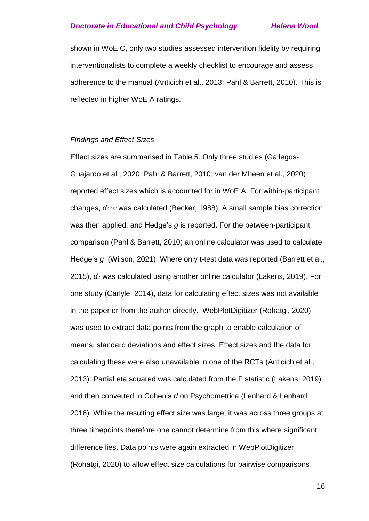shown in WoE C, only two studies assessed intervention fidelity by requiring interventionalists to complete a weekly checklist to encourage and assess adherence to the manual (Anticich et al., 2013; Pahl & Barrett, 2010). This is reflected in higher WoE A ratings.

### *Findings and Effect Sizes*

Effect sizes are summarised in Table 5. Only three studies (Gallegos-Guajardo et al., 2020; Pahl & Barrett, 2010; van der Mheen et al., 2020) reported effect sizes which is accounted for in WoE A. For within-participant changes, *dcorr* was calculated (Becker, 1988). A small sample bias correction was then applied, and Hedge's *g* is reported. For the between-participant comparison (Pahl & Barrett, 2010) an online calculator was used to calculate Hedge's *g* (Wilson, 2021). Where only t-test data was reported (Barrett et al., 2015), *dz* was calculated using another online calculator (Lakens, 2019). For one study (Carlyle, 2014), data for calculating effect sizes was not available in the paper or from the author directly. WebPlotDigitizer (Rohatgi, 2020) was used to extract data points from the graph to enable calculation of means, standard deviations and effect sizes. Effect sizes and the data for calculating these were also unavailable in one of the RCTs (Anticich et al., 2013). Partial eta squared was calculated from the F statistic (Lakens, 2019) and then converted to Cohen's *d* on Psychometrica (Lenhard & Lenhard, 2016)*.* While the resulting effect size was large, it was across three groups at three timepoints therefore one cannot determine from this where significant difference lies. Data points were again extracted in WebPlotDigitizer (Rohatgi, 2020) to allow effect size calculations for pairwise comparisons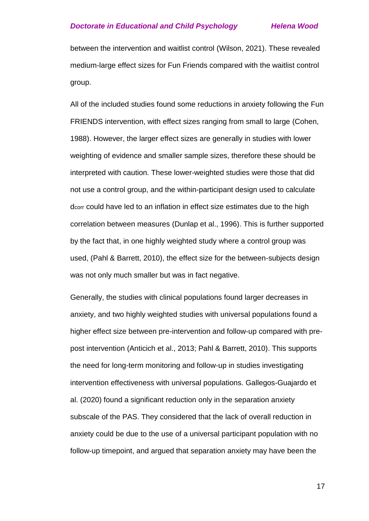between the intervention and waitlist control (Wilson, 2021). These revealed medium-large effect sizes for Fun Friends compared with the waitlist control group.

All of the included studies found some reductions in anxiety following the Fun FRIENDS intervention, with effect sizes ranging from small to large (Cohen, 1988). However, the larger effect sizes are generally in studies with lower weighting of evidence and smaller sample sizes, therefore these should be interpreted with caution. These lower-weighted studies were those that did not use a control group, and the within-participant design used to calculate dcorr could have led to an inflation in effect size estimates due to the high correlation between measures (Dunlap et al., 1996). This is further supported by the fact that, in one highly weighted study where a control group was used, (Pahl & Barrett, 2010), the effect size for the between-subjects design was not only much smaller but was in fact negative.

Generally, the studies with clinical populations found larger decreases in anxiety, and two highly weighted studies with universal populations found a higher effect size between pre-intervention and follow-up compared with prepost intervention (Anticich et al., 2013; Pahl & Barrett, 2010). This supports the need for long-term monitoring and follow-up in studies investigating intervention effectiveness with universal populations. Gallegos-Guajardo et al. (2020) found a significant reduction only in the separation anxiety subscale of the PAS. They considered that the lack of overall reduction in anxiety could be due to the use of a universal participant population with no follow-up timepoint, and argued that separation anxiety may have been the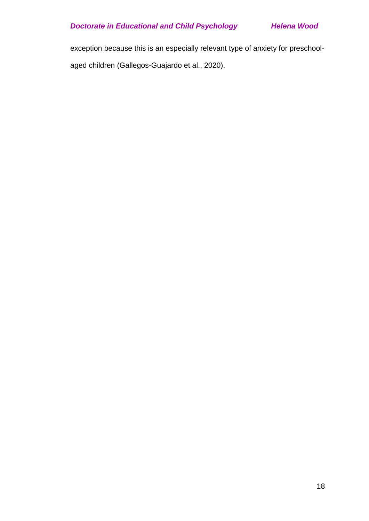exception because this is an especially relevant type of anxiety for preschoolaged children (Gallegos-Guajardo et al., 2020).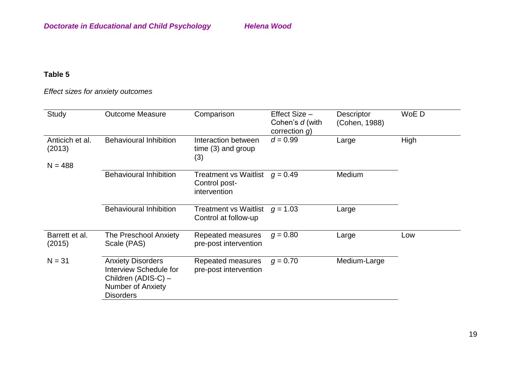# *Effect sizes for anxiety outcomes*

| Study                                  | <b>Outcome Measure</b>                                                                                                    | Comparison                                                    | Effect Size -<br>Cohen's d (with<br>correction $g$ ) | <b>Descriptor</b><br>(Cohen, 1988) | WoE D |
|----------------------------------------|---------------------------------------------------------------------------------------------------------------------------|---------------------------------------------------------------|------------------------------------------------------|------------------------------------|-------|
| Anticich et al.<br>(2013)<br>$N = 488$ | <b>Behavioural Inhibition</b>                                                                                             | Interaction between<br>time $(3)$ and group<br>(3)            | $d = 0.99$                                           | Large                              | High  |
|                                        | <b>Behavioural Inhibition</b>                                                                                             | <b>Treatment vs Waitlist</b><br>Control post-<br>intervention | $q = 0.49$                                           | Medium                             |       |
|                                        | <b>Behavioural Inhibition</b>                                                                                             | Treatment vs Waitlist<br>Control at follow-up                 | $g = 1.03$                                           | Large                              |       |
| Barrett et al.<br>(2015)               | The Preschool Anxiety<br>Scale (PAS)                                                                                      | Repeated measures<br>pre-post intervention                    | $q = 0.80$                                           | Large                              | Low   |
| $N = 31$                               | <b>Anxiety Disorders</b><br><b>Interview Schedule for</b><br>Children (ADIS-C) -<br>Number of Anxiety<br><b>Disorders</b> | Repeated measures<br>pre-post intervention                    | $q = 0.70$                                           | Medium-Large                       |       |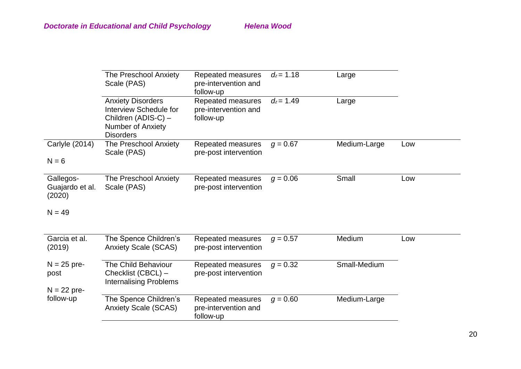|                                        | <b>The Preschool Anxiety</b><br>Scale (PAS)                                                                        | Repeated measures<br>pre-intervention and<br>follow-up | $d_z = 1.18$ | Large        |     |
|----------------------------------------|--------------------------------------------------------------------------------------------------------------------|--------------------------------------------------------|--------------|--------------|-----|
|                                        | <b>Anxiety Disorders</b><br>Interview Schedule for<br>Children (ADIS-C) -<br>Number of Anxiety<br><b>Disorders</b> | Repeated measures<br>pre-intervention and<br>follow-up | $d_z = 1.49$ | Large        |     |
| Carlyle (2014)<br>$N = 6$              | The Preschool Anxiety<br>Scale (PAS)                                                                               | Repeated measures<br>pre-post intervention             | $g = 0.67$   | Medium-Large | Low |
|                                        |                                                                                                                    |                                                        |              |              |     |
| Gallegos-<br>Guajardo et al.<br>(2020) | The Preschool Anxiety<br>Scale (PAS)                                                                               | Repeated measures<br>pre-post intervention             | $g = 0.06$   | Small        | Low |
| $N = 49$                               |                                                                                                                    |                                                        |              |              |     |
| Garcia et al.<br>(2019)                | The Spence Children's<br><b>Anxiety Scale (SCAS)</b>                                                               | Repeated measures<br>pre-post intervention             | $g = 0.57$   | Medium       | Low |
| $N = 25$ pre-<br>post                  | The Child Behaviour<br>Checklist (CBCL) -<br><b>Internalising Problems</b>                                         | Repeated measures<br>pre-post intervention             | $q = 0.32$   | Small-Medium |     |
| $N = 22$ pre-                          |                                                                                                                    |                                                        |              |              |     |
| follow-up                              | The Spence Children's<br><b>Anxiety Scale (SCAS)</b>                                                               | Repeated measures<br>pre-intervention and<br>follow-up | $g = 0.60$   | Medium-Large |     |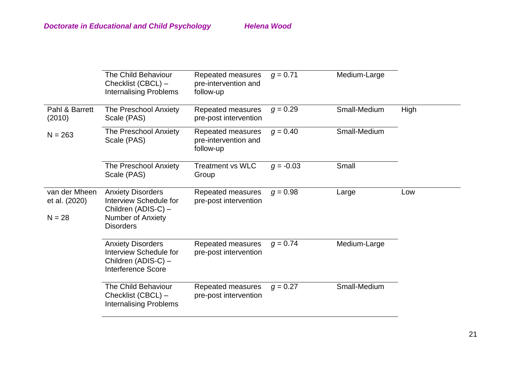|                                            | <b>The Child Behaviour</b><br>Checklist (CBCL) -<br><b>Internalising Problems</b>                                                | Repeated measures<br>pre-intervention and<br>follow-up | $q = 0.71$  | Medium-Large |      |
|--------------------------------------------|----------------------------------------------------------------------------------------------------------------------------------|--------------------------------------------------------|-------------|--------------|------|
| Pahl & Barrett<br>(2010)                   | The Preschool Anxiety<br>Scale (PAS)                                                                                             | Repeated measures<br>pre-post intervention             | $g = 0.29$  | Small-Medium | High |
| $N = 263$                                  | The Preschool Anxiety<br>Scale (PAS)                                                                                             | Repeated measures<br>pre-intervention and<br>follow-up | $g = 0.40$  | Small-Medium |      |
|                                            | The Preschool Anxiety<br>Scale (PAS)                                                                                             | <b>Treatment vs WLC</b><br>Group                       | $q = -0.03$ | Small        |      |
| van der Mheen<br>et al. (2020)<br>$N = 28$ | <b>Anxiety Disorders</b><br><b>Interview Schedule for</b><br>Children (ADIS-C) -<br><b>Number of Anxiety</b><br><b>Disorders</b> | Repeated measures<br>pre-post intervention             | $g = 0.98$  | Large        | Low  |
|                                            | <b>Anxiety Disorders</b><br>Interview Schedule for<br>Children (ADIS-C) -<br><b>Interference Score</b>                           | Repeated measures<br>pre-post intervention             | $q = 0.74$  | Medium-Large |      |
|                                            | The Child Behaviour<br>Checklist (CBCL) -<br><b>Internalising Problems</b>                                                       | Repeated measures<br>pre-post intervention             | $q = 0.27$  | Small-Medium |      |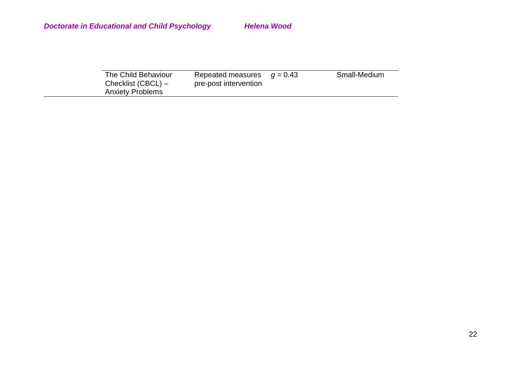| The Child Behaviour<br>Checklist (CBCL) - | Repeated measures $q = 0.43$<br>pre-post intervention | Small-Medium |
|-------------------------------------------|-------------------------------------------------------|--------------|
| <b>Anxiety Problems</b>                   |                                                       |              |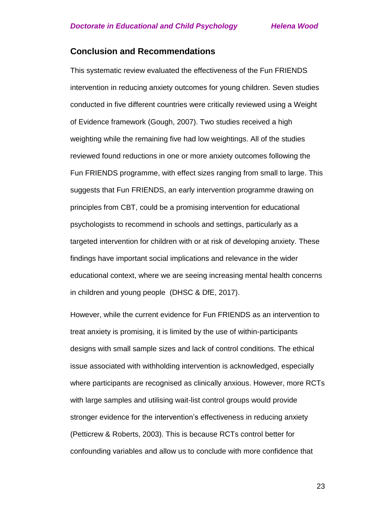# **Conclusion and Recommendations**

This systematic review evaluated the effectiveness of the Fun FRIENDS intervention in reducing anxiety outcomes for young children. Seven studies conducted in five different countries were critically reviewed using a Weight of Evidence framework (Gough, 2007). Two studies received a high weighting while the remaining five had low weightings. All of the studies reviewed found reductions in one or more anxiety outcomes following the Fun FRIENDS programme, with effect sizes ranging from small to large. This suggests that Fun FRIENDS, an early intervention programme drawing on principles from CBT, could be a promising intervention for educational psychologists to recommend in schools and settings, particularly as a targeted intervention for children with or at risk of developing anxiety. These findings have important social implications and relevance in the wider educational context, where we are seeing increasing mental health concerns in children and young people (DHSC & DfE, 2017).

However, while the current evidence for Fun FRIENDS as an intervention to treat anxiety is promising, it is limited by the use of within-participants designs with small sample sizes and lack of control conditions. The ethical issue associated with withholding intervention is acknowledged, especially where participants are recognised as clinically anxious. However, more RCTs with large samples and utilising wait-list control groups would provide stronger evidence for the intervention's effectiveness in reducing anxiety (Petticrew & Roberts, 2003). This is because RCTs control better for confounding variables and allow us to conclude with more confidence that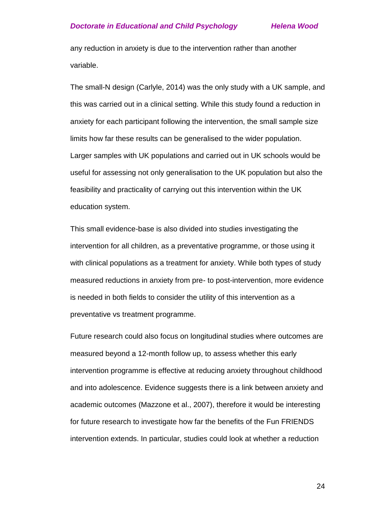any reduction in anxiety is due to the intervention rather than another variable.

The small-N design (Carlyle, 2014) was the only study with a UK sample, and this was carried out in a clinical setting. While this study found a reduction in anxiety for each participant following the intervention, the small sample size limits how far these results can be generalised to the wider population. Larger samples with UK populations and carried out in UK schools would be useful for assessing not only generalisation to the UK population but also the feasibility and practicality of carrying out this intervention within the UK education system.

This small evidence-base is also divided into studies investigating the intervention for all children, as a preventative programme, or those using it with clinical populations as a treatment for anxiety. While both types of study measured reductions in anxiety from pre- to post-intervention, more evidence is needed in both fields to consider the utility of this intervention as a preventative vs treatment programme.

Future research could also focus on longitudinal studies where outcomes are measured beyond a 12-month follow up, to assess whether this early intervention programme is effective at reducing anxiety throughout childhood and into adolescence. Evidence suggests there is a link between anxiety and academic outcomes (Mazzone et al., 2007), therefore it would be interesting for future research to investigate how far the benefits of the Fun FRIENDS intervention extends. In particular, studies could look at whether a reduction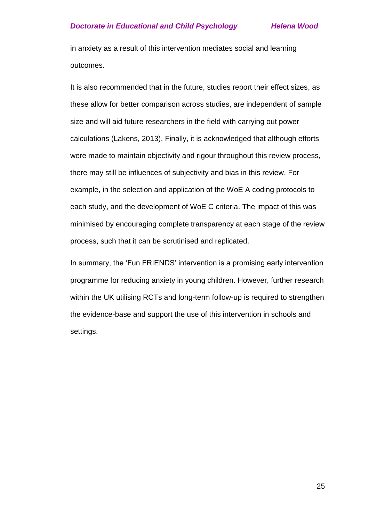in anxiety as a result of this intervention mediates social and learning outcomes.

It is also recommended that in the future, studies report their effect sizes, as these allow for better comparison across studies, are independent of sample size and will aid future researchers in the field with carrying out power calculations (Lakens, 2013). Finally, it is acknowledged that although efforts were made to maintain objectivity and rigour throughout this review process, there may still be influences of subjectivity and bias in this review. For example, in the selection and application of the WoE A coding protocols to each study, and the development of WoE C criteria. The impact of this was minimised by encouraging complete transparency at each stage of the review process, such that it can be scrutinised and replicated.

In summary, the 'Fun FRIENDS' intervention is a promising early intervention programme for reducing anxiety in young children. However, further research within the UK utilising RCTs and long-term follow-up is required to strengthen the evidence-base and support the use of this intervention in schools and settings.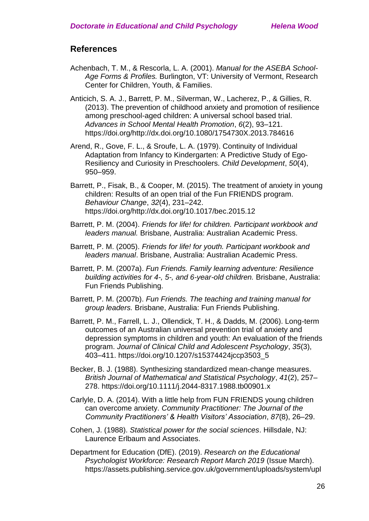# **References**

- Achenbach, T. M., & Rescorla, L. A. (2001). *Manual for the ASEBA School-Age Forms & Profiles.* Burlington, VT: University of Vermont, Research Center for Children, Youth, & Families.
- Anticich, S. A. J., Barrett, P. M., Silverman, W., Lacherez, P., & Gillies, R. (2013). The prevention of childhood anxiety and promotion of resilience among preschool-aged children: A universal school based trial. *Advances in School Mental Health Promotion*, *6*(2), 93–121. https://doi.org/http://dx.doi.org/10.1080/1754730X.2013.784616
- Arend, R., Gove, F. L., & Sroufe, L. A. (1979). Continuity of Individual Adaptation from Infancy to Kindergarten: A Predictive Study of Ego-Resiliency and Curiosity in Preschoolers. *Child Development*, *50*(4), 950–959.
- Barrett, P., Fisak, B., & Cooper, M. (2015). The treatment of anxiety in young children: Results of an open trial of the Fun FRIENDS program. *Behaviour Change*, *32*(4), 231–242. https://doi.org/http://dx.doi.org/10.1017/bec.2015.12
- Barrett, P. M. (2004). *Friends for life! for children. Participant workbook and leaders manual.* Brisbane, Australia: Australian Academic Press.
- Barrett, P. M. (2005). *Friends for life! for youth. Participant workbook and leaders manual*. Brisbane, Australia: Australian Academic Press.
- Barrett, P. M. (2007a). *Fun Friends. Family learning adventure: Resilience building activities for 4-, 5-, and 6-year-old children.* Brisbane, Australia: Fun Friends Publishing.
- Barrett, P. M. (2007b). *Fun Friends. The teaching and training manual for group leaders.* Brisbane, Australia: Fun Friends Publishing.
- Barrett, P. M., Farrell, L. J., Ollendick, T. H., & Dadds, M. (2006). Long-term outcomes of an Australian universal prevention trial of anxiety and depression symptoms in children and youth: An evaluation of the friends program. *Journal of Clinical Child and Adolescent Psychology*, *35*(3), 403–411. https://doi.org/10.1207/s15374424jccp3503\_5
- Becker, B. J. (1988). Synthesizing standardized mean‐change measures. *British Journal of Mathematical and Statistical Psychology*, *41*(2), 257– 278. https://doi.org/10.1111/j.2044-8317.1988.tb00901.x
- Carlyle, D. A. (2014). With a little help from FUN FRIENDS young children can overcome anxiety. *Community Practitioner: The Journal of the Community Practitioners' & Health Visitors' Association*, *87*(8), 26–29.
- Cohen, J. (1988). *Statistical power for the social sciences*. Hillsdale, NJ: Laurence Erlbaum and Associates.
- Department for Education (DfE). (2019). *Research on the Educational Psychologist Workforce: Research Report March 2019* (Issue March). https://assets.publishing.service.gov.uk/government/uploads/system/upl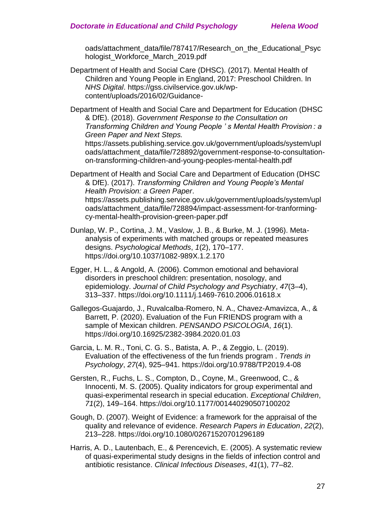oads/attachment\_data/file/787417/Research\_on\_the\_Educational\_Psyc hologist\_Workforce\_March\_2019.pdf

Department of Health and Social Care (DHSC). (2017). Mental Health of Children and Young People in England, 2017: Preschool Children. In *NHS Digital*. https://gss.civilservice.gov.uk/wpcontent/uploads/2016/02/Guidance-

Department of Health and Social Care and Department for Education (DHSC & DfE). (2018). *Government Response to the Consultation on Transforming Children and Young People ' s Mental Health Provision : a Green Paper and Next Steps.* https://assets.publishing.service.gov.uk/government/uploads/system/upl

oads/attachment\_data/file/728892/government-response-to-consultationon-transforming-children-and-young-peoples-mental-health.pdf

Department of Health and Social Care and Department of Education (DHSC & DfE). (2017). *Transforming Children and Young People's Mental Health Provision: a Green Paper*. https://assets.publishing.service.gov.uk/government/uploads/system/upl oads/attachment\_data/file/728894/impact-assessment-for-tranformingcy-mental-health-provision-green-paper.pdf

Dunlap, W. P., Cortina, J. M., Vaslow, J. B., & Burke, M. J. (1996). Metaanalysis of experiments with matched groups or repeated measures designs. *Psychological Methods*, *1*(2), 170–177. https://doi.org/10.1037/1082-989X.1.2.170

Egger, H. L., & Angold, A. (2006). Common emotional and behavioral disorders in preschool children: presentation, nosology, and epidemiology. *Journal of Child Psychology and Psychiatry*, *47*(3–4), 313–337. https://doi.org/10.1111/j.1469-7610.2006.01618.x

Gallegos-Guajardo, J., Ruvalcalba-Romero, N. A., Chavez-Amavizca, A., & Barrett, P. (2020). Evaluation of the Fun FRIENDS program with a sample of Mexican children. *PENSANDO PSICOLOGIA*, *16*(1). https://doi.org/10.16925/2382-3984.2020.01.03

Garcia, L. M. R., Toni, C. G. S., Batista, A. P., & Zeggio, L. (2019). Evaluation of the effectiveness of the fun friends program . *Trends in Psychology*, *27*(4), 925–941. https://doi.org/10.9788/TP2019.4-08

- Gersten, R., Fuchs, L. S., Compton, D., Coyne, M., Greenwood, C., & Innocenti, M. S. (2005). Quality indicators for group experimental and quasi-experimental research in special education. *Exceptional Children*, *71*(2), 149–164. https://doi.org/10.1177/001440290507100202
- Gough, D. (2007). Weight of Evidence: a framework for the appraisal of the quality and relevance of evidence. *Research Papers in Education*, *22*(2), 213–228. https://doi.org/10.1080/02671520701296189
- Harris, A. D., Lautenbach, E., & Perencevich, E. (2005). A systematic review of quasi-experimental study designs in the fields of infection control and antibiotic resistance. *Clinical Infectious Diseases*, *41*(1), 77–82.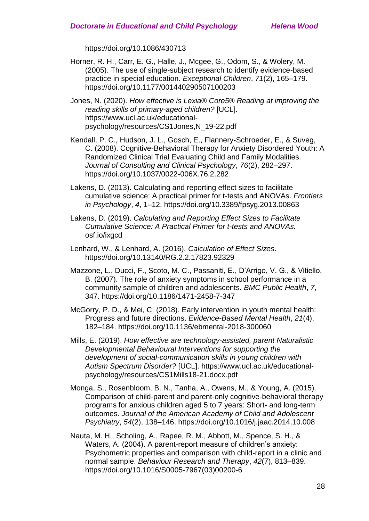https://doi.org/10.1086/430713

Horner, R. H., Carr, E. G., Halle, J., Mcgee, G., Odom, S., & Wolery, M. (2005). The use of single-subject research to identify evidence-based practice in special education. *Exceptional Children*, *71*(2), 165–179. https://doi.org/10.1177/001440290507100203

Jones, N. (2020). *How effective is Lexia® Core5® Reading at improving the reading skills of primary-aged children?* [UCL]. https://www.ucl.ac.uk/educationalpsychology/resources/CS1Jones,N\_19-22.pdf

- Kendall, P. C., Hudson, J. L., Gosch, E., Flannery-Schroeder, E., & Suveg, C. (2008). Cognitive-Behavioral Therapy for Anxiety Disordered Youth: A Randomized Clinical Trial Evaluating Child and Family Modalities. *Journal of Consulting and Clinical Psychology*, *76*(2), 282–297. https://doi.org/10.1037/0022-006X.76.2.282
- Lakens, D. (2013). Calculating and reporting effect sizes to facilitate cumulative science: A practical primer for t-tests and ANOVAs. *Frontiers in Psychology*, *4*, 1–12. https://doi.org/10.3389/fpsyg.2013.00863
- Lakens, D. (2019). *Calculating and Reporting Effect Sizes to Facilitate Cumulative Science: A Practical Primer for t-tests and ANOVAs.* osf.io/ixgcd
- Lenhard, W., & Lenhard, A. (2016). *Calculation of Effect Sizes*. https://doi.org/10.13140/RG.2.2.17823.92329
- Mazzone, L., Ducci, F., Scoto, M. C., Passaniti, E., D'Arrigo, V. G., & Vitiello, B. (2007). The role of anxiety symptoms in school performance in a community sample of children and adolescents. *BMC Public Health*, *7*, 347. https://doi.org/10.1186/1471-2458-7-347
- McGorry, P. D., & Mei, C. (2018). Early intervention in youth mental health: Progress and future directions. *Evidence-Based Mental Health*, *21*(4), 182–184. https://doi.org/10.1136/ebmental-2018-300060
- Mills, E. (2019). *How effective are technology-assisted, parent Naturalistic Developmental Behavioural Interventions for supporting the development of social-communication skills in young children with Autism Spectrum Disorder?* [UCL]. https://www.ucl.ac.uk/educationalpsychology/resources/CS1Mills18-21.docx.pdf
- Monga, S., Rosenbloom, B. N., Tanha, A., Owens, M., & Young, A. (2015). Comparison of child-parent and parent-only cognitive-behavioral therapy programs for anxious children aged 5 to 7 years: Short- and long-term outcomes. *Journal of the American Academy of Child and Adolescent Psychiatry*, *54*(2), 138–146. https://doi.org/10.1016/j.jaac.2014.10.008
- Nauta, M. H., Scholing, A., Rapee, R. M., Abbott, M., Spence, S. H., & Waters, A. (2004). A parent-report measure of children's anxiety: Psychometric properties and comparison with child-report in a clinic and normal sample. *Behaviour Research and Therapy*, *42*(7), 813–839. https://doi.org/10.1016/S0005-7967(03)00200-6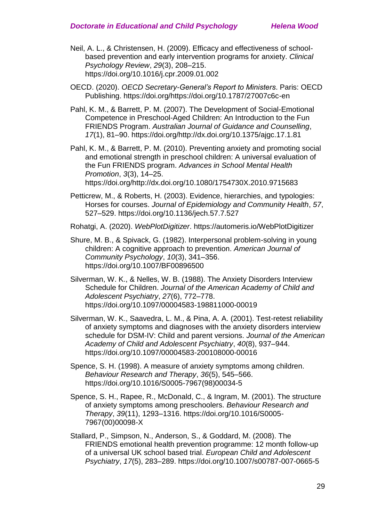- Neil, A. L., & Christensen, H. (2009). Efficacy and effectiveness of schoolbased prevention and early intervention programs for anxiety. *Clinical Psychology Review*, *29*(3), 208–215. https://doi.org/10.1016/j.cpr.2009.01.002
- OECD. (2020). *OECD Secretary-General's Report to Ministers*. Paris: OECD Publishing. https://doi.org/https://doi.org/10.1787/27007c6c-en
- Pahl, K. M., & Barrett, P. M. (2007). The Development of Social-Emotional Competence in Preschool-Aged Children: An Introduction to the Fun FRIENDS Program. *Australian Journal of Guidance and Counselling*, *17*(1), 81–90. https://doi.org/http://dx.doi.org/10.1375/ajgc.17.1.81
- Pahl, K. M., & Barrett, P. M. (2010). Preventing anxiety and promoting social and emotional strength in preschool children: A universal evaluation of the Fun FRIENDS program. *Advances in School Mental Health Promotion*, *3*(3), 14–25. https://doi.org/http://dx.doi.org/10.1080/1754730X.2010.9715683
- Petticrew, M., & Roberts, H. (2003). Evidence, hierarchies, and typologies: Horses for courses. *Journal of Epidemiology and Community Health*, *57*, 527–529. https://doi.org/10.1136/jech.57.7.527
- Rohatgi, A. (2020). *WebPlotDigitizer*. https://automeris.io/WebPlotDigitizer
- Shure, M. B., & Spivack, G. (1982). Interpersonal problem-solving in young children: A cognitive approach to prevention. *American Journal of Community Psychology*, *10*(3), 341–356. https://doi.org/10.1007/BF00896500
- Silverman, W. K., & Nelles, W. B. (1988). The Anxiety Disorders Interview Schedule for Children. *Journal of the American Academy of Child and Adolescent Psychiatry*, *27*(6), 772–778. https://doi.org/10.1097/00004583-198811000-00019
- Silverman, W. K., Saavedra, L. M., & Pina, A. A. (2001). Test-retest reliability of anxiety symptoms and diagnoses with the anxiety disorders interview schedule for DSM-IV: Child and parent versions. *Journal of the American Academy of Child and Adolescent Psychiatry*, *40*(8), 937–944. https://doi.org/10.1097/00004583-200108000-00016
- Spence, S. H. (1998). A measure of anxiety symptoms among children. *Behaviour Research and Therapy*, *36*(5), 545–566. https://doi.org/10.1016/S0005-7967(98)00034-5
- Spence, S. H., Rapee, R., McDonald, C., & Ingram, M. (2001). The structure of anxiety symptoms among preschoolers. *Behaviour Research and Therapy*, *39*(11), 1293–1316. https://doi.org/10.1016/S0005- 7967(00)00098-X
- Stallard, P., Simpson, N., Anderson, S., & Goddard, M. (2008). The FRIENDS emotional health prevention programme: 12 month follow-up of a universal UK school based trial. *European Child and Adolescent Psychiatry*, *17*(5), 283–289. https://doi.org/10.1007/s00787-007-0665-5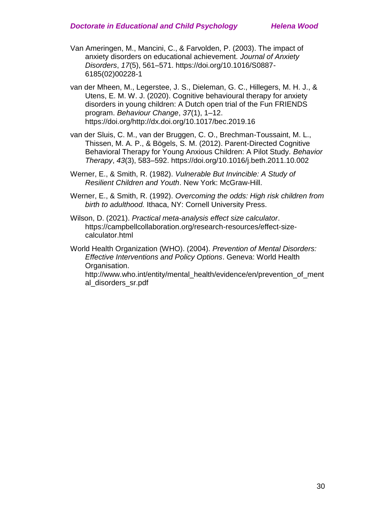- Van Ameringen, M., Mancini, C., & Farvolden, P. (2003). The impact of anxiety disorders on educational achievement. *Journal of Anxiety Disorders*, *17*(5), 561–571. https://doi.org/10.1016/S0887- 6185(02)00228-1
- van der Mheen, M., Legerstee, J. S., Dieleman, G. C., Hillegers, M. H. J., & Utens, E. M. W. J. (2020). Cognitive behavioural therapy for anxiety disorders in young children: A Dutch open trial of the Fun FRIENDS program. *Behaviour Change*, *37*(1), 1–12. https://doi.org/http://dx.doi.org/10.1017/bec.2019.16
- van der Sluis, C. M., van der Bruggen, C. O., Brechman-Toussaint, M. L., Thissen, M. A. P., & Bögels, S. M. (2012). Parent-Directed Cognitive Behavioral Therapy for Young Anxious Children: A Pilot Study. *Behavior Therapy*, *43*(3), 583–592. https://doi.org/10.1016/j.beth.2011.10.002
- Werner, E., & Smith, R. (1982). *Vulnerable But Invincible: A Study of Resilient Children and Youth*. New York: McGraw-Hill.
- Werner, E., & Smith, R. (1992). *Overcoming the odds: High risk children from birth to adulthood.* Ithaca, NY: Cornell University Press.
- Wilson, D. (2021). *Practical meta-analysis effect size calculator*. https://campbellcollaboration.org/research-resources/effect-sizecalculator.html
- World Health Organization (WHO). (2004). *Prevention of Mental Disorders: Effective Interventions and Policy Options*. Geneva: World Health Organisation.

http://www.who.int/entity/mental\_health/evidence/en/prevention\_of\_ment al\_disorders\_sr.pdf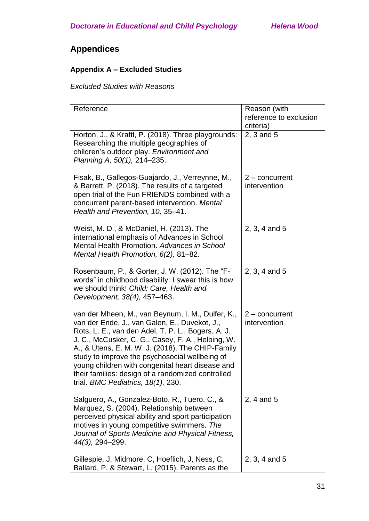# **Appendices**

# **Appendix A – Excluded Studies**

*Excluded Studies with Reasons*

| Reference                                                                                                                                                                                                                                                                                                                                                                                                                                                          | Reason (with                     |
|--------------------------------------------------------------------------------------------------------------------------------------------------------------------------------------------------------------------------------------------------------------------------------------------------------------------------------------------------------------------------------------------------------------------------------------------------------------------|----------------------------------|
|                                                                                                                                                                                                                                                                                                                                                                                                                                                                    | reference to exclusion           |
|                                                                                                                                                                                                                                                                                                                                                                                                                                                                    | criteria)                        |
| Horton, J., & Kraftl, P. (2018). Three playgrounds:<br>Researching the multiple geographies of<br>children's outdoor play. Environment and<br>Planning A, 50(1), 214-235.                                                                                                                                                                                                                                                                                          | 2, 3 and 5                       |
| Fisak, B., Gallegos-Guajardo, J., Verreynne, M.,<br>& Barrett, P. (2018). The results of a targeted<br>open trial of the Fun FRIENDS combined with a<br>concurrent parent-based intervention. Mental<br>Health and Prevention, 10, 35-41.                                                                                                                                                                                                                          | $2$ – concurrent<br>intervention |
| Weist, M. D., & McDaniel, H. (2013). The<br>international emphasis of Advances in School<br>Mental Health Promotion, Advances in School<br>Mental Health Promotion, 6(2), 81-82.                                                                                                                                                                                                                                                                                   | 2, 3, 4 and 5                    |
| Rosenbaum, P., & Gorter, J. W. (2012). The "F-<br>words" in childhood disability: I swear this is how<br>we should think! Child: Care, Health and<br>Development, 38(4), 457-463.                                                                                                                                                                                                                                                                                  | 2, 3, 4 and 5                    |
| van der Mheen, M., van Beynum, I. M., Dulfer, K.,<br>van der Ende, J., van Galen, E., Duvekot, J.,<br>Rots, L. E., van den Adel, T. P. L., Bogers, A. J.<br>J. C., McCusker, C. G., Casey, F. A., Helbing, W.<br>A., & Utens, E. M. W. J. (2018). The CHIP-Family<br>study to improve the psychosocial wellbeing of<br>young children with congenital heart disease and<br>their families: design of a randomized controlled<br>trial. BMC Pediatrics, 18(1), 230. | $2$ – concurrent<br>intervention |
| Salguero, A., Gonzalez-Boto, R., Tuero, C., &<br>Marquez, S. (2004). Relationship between<br>perceived physical ability and sport participation<br>motives in young competitive swimmers. The<br>Journal of Sports Medicine and Physical Fitness,<br>44(3), 294-299.                                                                                                                                                                                               | 2, 4 and 5                       |
| Gillespie, J, Midmore, C, Hoeflich, J, Ness, C,<br>Ballard, P, & Stewart, L. (2015). Parents as the                                                                                                                                                                                                                                                                                                                                                                | 2, 3, 4 and 5                    |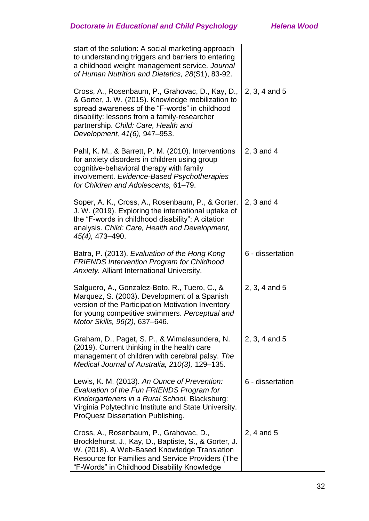| start of the solution: A social marketing approach<br>to understanding triggers and barriers to entering<br>a childhood weight management service. Journal<br>of Human Nutrition and Dietetics, 28(S1), 83-92.                                                                  |                  |
|---------------------------------------------------------------------------------------------------------------------------------------------------------------------------------------------------------------------------------------------------------------------------------|------------------|
| Cross, A., Rosenbaum, P., Grahovac, D., Kay, D.,<br>& Gorter, J. W. (2015). Knowledge mobilization to<br>spread awareness of the "F-words" in childhood<br>disability: lessons from a family-researcher<br>partnership. Child: Care, Health and<br>Development, 41(6), 947-953. | 2, 3, 4 and 5    |
| Pahl, K. M., & Barrett, P. M. (2010). Interventions<br>for anxiety disorders in children using group<br>cognitive-behavioral therapy with family<br>involvement. Evidence-Based Psychotherapies<br>for Children and Adolescents, 61-79.                                         | $2, 3$ and 4     |
| Soper, A. K., Cross, A., Rosenbaum, P., & Gorter,<br>J. W. (2019). Exploring the international uptake of<br>the "F-words in childhood disability": A citation<br>analysis. Child: Care, Health and Development,<br>45(4), 473-490.                                              | 2, 3 and 4       |
| Batra, P. (2013). Evaluation of the Hong Kong<br>FRIENDS Intervention Program for Childhood<br>Anxiety. Alliant International University.                                                                                                                                       | 6 - dissertation |
| Salguero, A., Gonzalez-Boto, R., Tuero, C., &<br>Marquez, S. (2003). Development of a Spanish<br>version of the Participation Motivation Inventory<br>for young competitive swimmers. Perceptual and<br>Motor Skills, 96(2), 637-646.                                           | 2, 3, 4 and 5    |
| Graham, D., Paget, S. P., & Wimalasundera, N.<br>(2019). Current thinking in the health care<br>management of children with cerebral palsy. The<br>Medical Journal of Australia, 210(3), 129-135.                                                                               | 2, 3, 4 and 5    |
| Lewis, K. M. (2013). An Ounce of Prevention:<br>Evaluation of the Fun FRIENDS Program for<br>Kindergarteners in a Rural School. Blacksburg:<br>Virginia Polytechnic Institute and State University.<br><b>ProQuest Dissertation Publishing.</b>                                 | 6 - dissertation |
| Cross, A., Rosenbaum, P., Grahovac, D.,<br>Brocklehurst, J., Kay, D., Baptiste, S., & Gorter, J.<br>W. (2018). A Web-Based Knowledge Translation<br>Resource for Families and Service Providers (The<br>"F-Words" in Childhood Disability Knowledge                             | 2, 4 and 5       |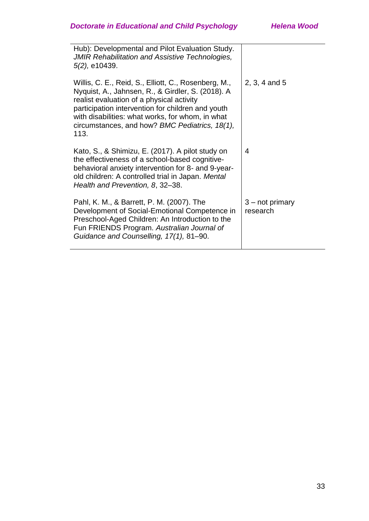| Hub): Developmental and Pilot Evaluation Study.<br><b>JMIR Rehabilitation and Assistive Technologies,</b><br>5(2), e10439.                                                                                                                                                                                                |                               |
|---------------------------------------------------------------------------------------------------------------------------------------------------------------------------------------------------------------------------------------------------------------------------------------------------------------------------|-------------------------------|
| Willis, C. E., Reid, S., Elliott, C., Rosenberg, M.,<br>Nyquist, A., Jahnsen, R., & Girdler, S. (2018). A<br>realist evaluation of a physical activity<br>participation intervention for children and youth<br>with disabilities: what works, for whom, in what<br>circumstances, and how? BMC Pediatrics, 18(1),<br>113. | $2, 3, 4$ and 5               |
| Kato, S., & Shimizu, E. (2017). A pilot study on<br>the effectiveness of a school-based cognitive-<br>behavioral anxiety intervention for 8- and 9-year-<br>old children: A controlled trial in Japan. Mental<br>Health and Prevention, 8, 32-38.                                                                         | 4                             |
| Pahl, K. M., & Barrett, P. M. (2007). The<br>Development of Social-Emotional Competence in<br>Preschool-Aged Children: An Introduction to the<br>Fun FRIENDS Program. Australian Journal of<br>Guidance and Counselling, 17(1), 81-90.                                                                                    | $3 - not primary$<br>research |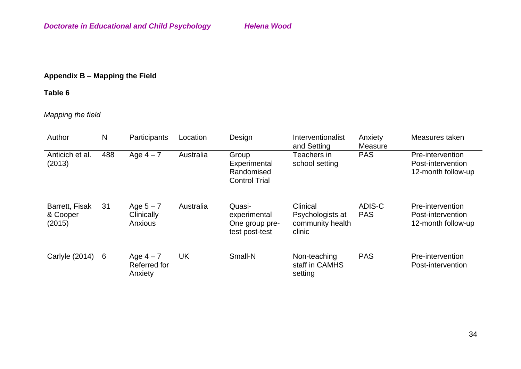# **Appendix B – Mapping the Field**

# **Table 6**

# *Mapping the field*

| Author                               | N   | Participants                         | Location  | Design                                                      | Interventionalist<br>and Setting                           | Anxiety<br>Measure   | Measures taken                                              |
|--------------------------------------|-----|--------------------------------------|-----------|-------------------------------------------------------------|------------------------------------------------------------|----------------------|-------------------------------------------------------------|
| Anticich et al.<br>(2013)            | 488 | Age $4-7$                            | Australia | Group<br>Experimental<br>Randomised<br><b>Control Trial</b> | Teachers in<br>school setting                              | <b>PAS</b>           | Pre-intervention<br>Post-intervention<br>12-month follow-up |
| Barrett, Fisak<br>& Cooper<br>(2015) | 31  | Age $5 - 7$<br>Clinically<br>Anxious | Australia | Quasi-<br>experimental<br>One group pre-<br>test post-test  | Clinical<br>Psychologists at<br>community health<br>clinic | ADIS-C<br><b>PAS</b> | Pre-intervention<br>Post-intervention<br>12-month follow-up |
| Carlyle (2014)                       | 6   | Age $4-7$<br>Referred for<br>Anxiety | <b>UK</b> | Small-N                                                     | Non-teaching<br>staff in CAMHS<br>setting                  | <b>PAS</b>           | Pre-intervention<br>Post-intervention                       |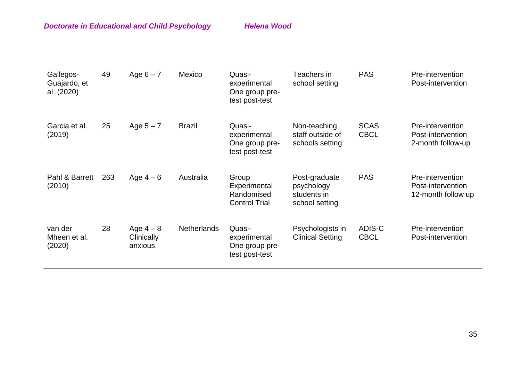| Gallegos-<br>Guajardo, et<br>al. (2020) | 49  | Age $6 - 7$                         | Mexico             | Quasi-<br>experimental<br>One group pre-<br>test post-test  | Teachers in<br>school setting                                | <b>PAS</b>                 | Pre-intervention<br>Post-intervention                       |
|-----------------------------------------|-----|-------------------------------------|--------------------|-------------------------------------------------------------|--------------------------------------------------------------|----------------------------|-------------------------------------------------------------|
| Garcia et al.<br>(2019)                 | 25  | Age $5 - 7$                         | <b>Brazil</b>      | Quasi-<br>experimental<br>One group pre-<br>test post-test  | Non-teaching<br>staff outside of<br>schools setting          | <b>SCAS</b><br><b>CBCL</b> | Pre-intervention<br>Post-intervention<br>2-month follow-up  |
| Pahl & Barrett<br>(2010)                | 263 | Age $4-6$                           | Australia          | Group<br>Experimental<br>Randomised<br><b>Control Trial</b> | Post-graduate<br>psychology<br>students in<br>school setting | <b>PAS</b>                 | Pre-intervention<br>Post-intervention<br>12-month follow up |
| van der<br>Mheen et al.<br>(2020)       | 28  | Age $4-8$<br>Clinically<br>anxious. | <b>Netherlands</b> | Quasi-<br>experimental<br>One group pre-<br>test post-test  | Psychologists in<br><b>Clinical Setting</b>                  | ADIS-C<br><b>CBCL</b>      | Pre-intervention<br>Post-intervention                       |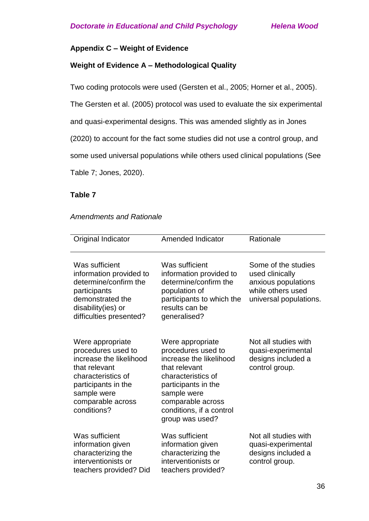### **Appendix C – Weight of Evidence**

### **Weight of Evidence A – Methodological Quality**

Two coding protocols were used (Gersten et al., 2005; Horner et al., 2005).

The Gersten et al. (2005) protocol was used to evaluate the six experimental

and quasi-experimental designs. This was amended slightly as in Jones

(2020) to account for the fact some studies did not use a control group, and

some used universal populations while others used clinical populations (See

Table 7; Jones, 2020).

### **Table 7**

### *Amendments and Rationale*

| Original Indicator                                                                                                                                                                 | <b>Amended Indicator</b>                                                                                                                                                                                           | Rationale                                                                                                    |
|------------------------------------------------------------------------------------------------------------------------------------------------------------------------------------|--------------------------------------------------------------------------------------------------------------------------------------------------------------------------------------------------------------------|--------------------------------------------------------------------------------------------------------------|
| Was sufficient<br>information provided to<br>determine/confirm the<br>participants<br>demonstrated the<br>disability(ies) or<br>difficulties presented?                            | Was sufficient<br>information provided to<br>determine/confirm the<br>population of<br>participants to which the<br>results can be<br>generalised?                                                                 | Some of the studies<br>used clinically<br>anxious populations<br>while others used<br>universal populations. |
| Were appropriate<br>procedures used to<br>increase the likelihood<br>that relevant<br>characteristics of<br>participants in the<br>sample were<br>comparable across<br>conditions? | Were appropriate<br>procedures used to<br>increase the likelihood<br>that relevant<br>characteristics of<br>participants in the<br>sample were<br>comparable across<br>conditions, if a control<br>group was used? | Not all studies with<br>quasi-experimental<br>designs included a<br>control group.                           |
| Was sufficient<br>information given<br>characterizing the<br>interventionists or<br>teachers provided? Did                                                                         | Was sufficient<br>information given<br>characterizing the<br>interventionists or<br>teachers provided?                                                                                                             | Not all studies with<br>quasi-experimental<br>designs included a<br>control group.                           |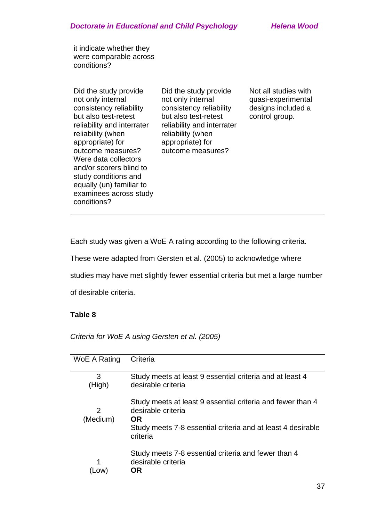it indicate whether they were comparable across conditions?

Did the study provide not only internal consistency reliability but also test-retest reliability and interrater reliability (when appropriate) for outcome measures? Were data collectors and/or scorers blind to study conditions and equally (un) familiar to examinees across study conditions?

Did the study provide not only internal consistency reliability but also test-retest reliability and interrater reliability (when appropriate) for outcome measures?

Not all studies with quasi-experimental designs included a control group.

Each study was given a WoE A rating according to the following criteria.

These were adapted from Gersten et al. (2005) to acknowledge where

studies may have met slightly fewer essential criteria but met a large number

of desirable criteria.

# **Table 8**

*Criteria for WoE A using Gersten et al. (2005)*

| WoE A Rating | Criteria                                                    |
|--------------|-------------------------------------------------------------|
|              |                                                             |
| 3            | Study meets at least 9 essential criteria and at least 4    |
| (High)       | desirable criteria                                          |
|              |                                                             |
|              |                                                             |
|              | Study meets at least 9 essential criteria and fewer than 4  |
| 2            | desirable criteria                                          |
| (Medium)     | <b>OR</b>                                                   |
|              | Study meets 7-8 essential criteria and at least 4 desirable |
|              | criteria                                                    |
|              |                                                             |
|              |                                                             |
|              | Study meets 7-8 essential criteria and fewer than 4         |
|              | desirable criteria                                          |
|              | OR                                                          |
|              |                                                             |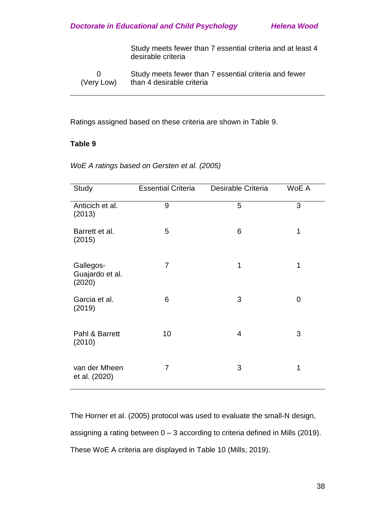Study meets fewer than 7 essential criteria and at least 4 desirable criteria

0 (Very Low) Study meets fewer than 7 essential criteria and fewer than 4 desirable criteria

Ratings assigned based on these criteria are shown in Table 9.

### **Table 9**

| Study                                  | <b>Essential Criteria</b> | Desirable Criteria | WoE A       |
|----------------------------------------|---------------------------|--------------------|-------------|
| Anticich et al.<br>(2013)              | 9                         | 5                  | 3           |
| Barrett et al.<br>(2015)               | 5                         | 6                  | 1           |
| Gallegos-<br>Guajardo et al.<br>(2020) | 7                         | 1                  | 1           |
| Garcia et al.<br>(2019)                | 6                         | 3                  | $\mathbf 0$ |
| Pahl & Barrett<br>(2010)               | 10                        | $\overline{4}$     | 3           |
| van der Mheen<br>et al. (2020)         | 7                         | 3                  | 1           |

*WoE A ratings based on Gersten et al. (2005)*

The Horner et al. (2005) protocol was used to evaluate the small-N design, assigning a rating between  $0 - 3$  according to criteria defined in Mills (2019). These WoE A criteria are displayed in Table 10 (Mills, 2019).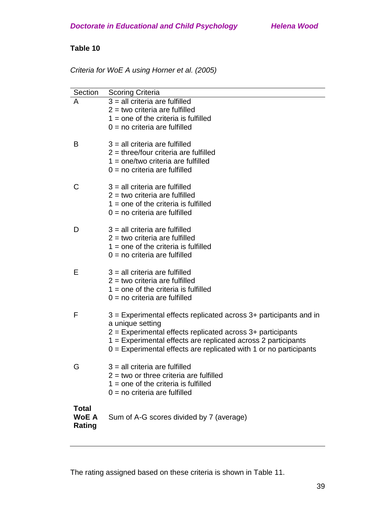| Criteria for WoE A using Horner et al. (2005) |  |
|-----------------------------------------------|--|
|-----------------------------------------------|--|

| Section      | <b>Scoring Criteria</b>                                                                                                                                |
|--------------|--------------------------------------------------------------------------------------------------------------------------------------------------------|
| A            | $3$ = all criteria are fulfilled                                                                                                                       |
|              | $2 =$ two criteria are fulfilled                                                                                                                       |
|              | $1 =$ one of the criteria is fulfilled                                                                                                                 |
|              | $0 = no$ criteria are fulfilled                                                                                                                        |
| B            | $3$ = all criteria are fulfilled<br>$2$ = three/four criteria are fulfilled<br>$1 =$ one/two criteria are fulfilled<br>$0 = no$ criteria are fulfilled |
| С            | $3$ = all criteria are fulfilled                                                                                                                       |
|              | $2 =$ two criteria are fulfilled                                                                                                                       |
|              | $1 =$ one of the criteria is fulfilled                                                                                                                 |
|              | $0 = no$ criteria are fulfilled                                                                                                                        |
| D            | $3$ = all criteria are fulfilled                                                                                                                       |
|              | $2 =$ two criteria are fulfilled                                                                                                                       |
|              | $1 =$ one of the criteria is fulfilled                                                                                                                 |
|              | $0 = no$ criteria are fulfilled                                                                                                                        |
|              |                                                                                                                                                        |
| Е            | $3$ = all criteria are fulfilled                                                                                                                       |
|              | $2 =$ two criteria are fulfilled<br>$1 =$ one of the criteria is fulfilled                                                                             |
|              | $0 = no$ criteria are fulfilled                                                                                                                        |
|              |                                                                                                                                                        |
| F            | 3 = Experimental effects replicated across 3+ participants and in                                                                                      |
|              | a unique setting                                                                                                                                       |
|              | $2$ = Experimental effects replicated across $3+$ participants                                                                                         |
|              | 1 = Experimental effects are replicated across 2 participants                                                                                          |
|              | $0 =$ Experimental effects are replicated with 1 or no participants                                                                                    |
| v            | $3$ = all criteria are fulfilled                                                                                                                       |
|              | $2$ = two or three criteria are fulfilled                                                                                                              |
|              | $1 =$ one of the criteria is fulfilled                                                                                                                 |
|              | $0 = no$ criteria are fulfilled                                                                                                                        |
| <b>Total</b> |                                                                                                                                                        |
| <b>WoE A</b> | Sum of A-G scores divided by 7 (average)                                                                                                               |
| Rating       |                                                                                                                                                        |

The rating assigned based on these criteria is shown in Table 11.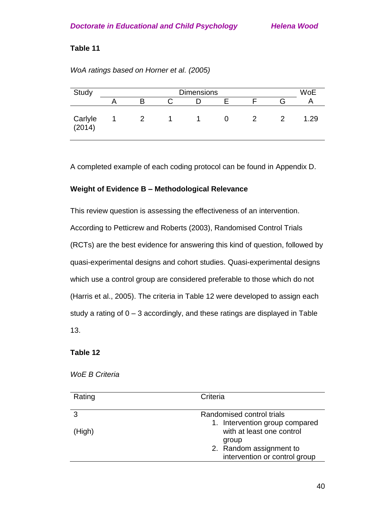| Study             | <b>Dimensions</b> |   |  |  |  | <b>WoE</b> |      |
|-------------------|-------------------|---|--|--|--|------------|------|
|                   |                   |   |  |  |  | л          |      |
| Carlyle<br>(2014) |                   | 2 |  |  |  |            | 1.29 |

# *WoA ratings based on Horner et al. (2005)*

A completed example of each coding protocol can be found in Appendix D.

# **Weight of Evidence B – Methodological Relevance**

This review question is assessing the effectiveness of an intervention. According to Petticrew and Roberts (2003), Randomised Control Trials (RCTs) are the best evidence for answering this kind of question, followed by quasi-experimental designs and cohort studies. Quasi-experimental designs which use a control group are considered preferable to those which do not (Harris et al., 2005). The criteria in Table 12 were developed to assign each study a rating of 0 – 3 accordingly, and these ratings are displayed in Table 13.

# **Table 12**

### *WoE B Criteria*

| Rating | Criteria                                                    |
|--------|-------------------------------------------------------------|
|        | Randomised control trials                                   |
| (High) | 1. Intervention group compared<br>with at least one control |
|        | group<br>2. Random assignment to                            |
|        | intervention or control group                               |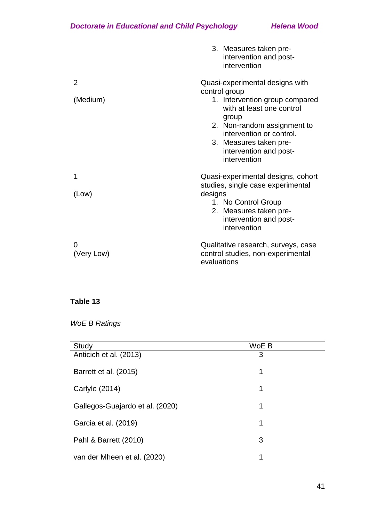|               | 3. Measures taken pre-<br>intervention and post-<br>intervention                                                                                                                                                                                        |
|---------------|---------------------------------------------------------------------------------------------------------------------------------------------------------------------------------------------------------------------------------------------------------|
| 2<br>(Medium) | Quasi-experimental designs with<br>control group<br>1. Intervention group compared<br>with at least one control<br>group<br>2. Non-random assignment to<br>intervention or control.<br>3. Measures taken pre-<br>intervention and post-<br>intervention |
| 1<br>(Low)    | Quasi-experimental designs, cohort<br>studies, single case experimental<br>designs<br>1. No Control Group<br>2. Measures taken pre-<br>intervention and post-<br>intervention                                                                           |
| (Very Low)    | Qualitative research, surveys, case<br>control studies, non-experimental<br>evaluations                                                                                                                                                                 |

# *WoE B Ratings*

| Study                           | WoE B |
|---------------------------------|-------|
| Anticich et al. (2013)          | 3     |
| Barrett et al. (2015)           | 1     |
| Carlyle (2014)                  | 1     |
| Gallegos-Guajardo et al. (2020) | 1     |
| Garcia et al. (2019)            | 1     |
| Pahl & Barrett (2010)           | 3     |
| van der Mheen et al. (2020)     | 1     |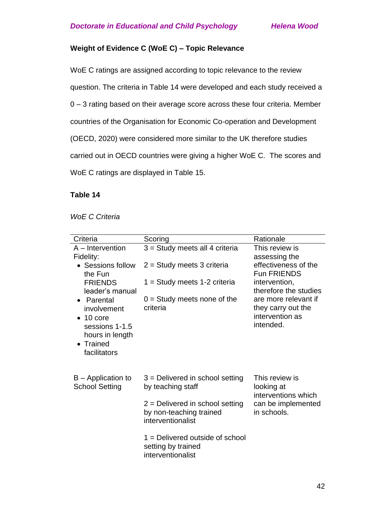# **Weight of Evidence C (WoE C) – Topic Relevance**

WoE C ratings are assigned according to topic relevance to the review question. The criteria in Table 14 were developed and each study received a 0 – 3 rating based on their average score across these four criteria. Member countries of the Organisation for Economic Co-operation and Development (OECD, 2020) were considered more similar to the UK therefore studies carried out in OECD countries were giving a higher WoE C. The scores and WoE C ratings are displayed in Table 15.

### **Table 14**

*WoE C Criteria*

| Criteria                                                                                                         | Scoring                                                                           | Rationale                                                                  |  |
|------------------------------------------------------------------------------------------------------------------|-----------------------------------------------------------------------------------|----------------------------------------------------------------------------|--|
| $A$ – Intervention<br>Fidelity:                                                                                  | $3 =$ Study meets all 4 criteria                                                  | This review is<br>assessing the                                            |  |
| • Sessions follow<br>the Fun                                                                                     | $2 =$ Study meets 3 criteria                                                      | effectiveness of the<br><b>Fun FRIENDS</b>                                 |  |
| <b>FRIENDS</b><br>leader's manual                                                                                | 1 = Study meets 1-2 criteria                                                      | intervention,<br>therefore the studies                                     |  |
| • Parental<br>involvement<br>$\bullet$ 10 core<br>sessions 1-1.5<br>hours in length<br>• Trained<br>facilitators | $0 =$ Study meets none of the<br>criteria                                         | are more relevant if<br>they carry out the<br>intervention as<br>intended. |  |
| $B -$ Application to<br><b>School Setting</b>                                                                    | $3$ = Delivered in school setting<br>by teaching staff                            | This review is<br>looking at<br>interventions which                        |  |
|                                                                                                                  | $2$ = Delivered in school setting<br>by non-teaching trained<br>interventionalist | can be implemented<br>in schools.                                          |  |
|                                                                                                                  | $1 =$ Delivered outside of school<br>setting by trained<br>interventionalist      |                                                                            |  |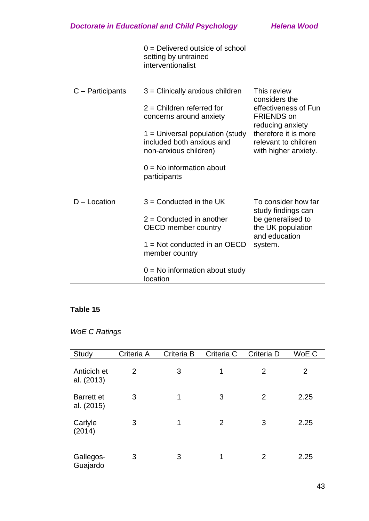|                    | $0 =$ Delivered outside of school<br>setting by untrained<br>interventionalist          |                                                                                          |
|--------------------|-----------------------------------------------------------------------------------------|------------------------------------------------------------------------------------------|
| $C -$ Participants | $3$ = Clinically anxious children                                                       | This review<br>considers the                                                             |
|                    | $2$ = Children referred for<br>concerns around anxiety                                  | effectiveness of Fun<br><b>FRIENDS on</b>                                                |
|                    | $1 =$ Universal population (study<br>included both anxious and<br>non-anxious children) | reducing anxiety<br>therefore it is more<br>relevant to children<br>with higher anxiety. |
|                    | $0 = No$ information about<br>participants                                              |                                                                                          |
| $D -$ Location     | $3 =$ Conducted in the UK                                                               | To consider how far<br>study findings can                                                |
|                    | $2 =$ Conducted in another<br><b>OECD</b> member country                                | be generalised to<br>the UK population<br>and education                                  |
|                    | $1 =$ Not conducted in an OECD<br>member country                                        | system.                                                                                  |
|                    | $0 = No$ information about study<br>location                                            |                                                                                          |

# *WoE C Ratings*

| Study                           | Criteria A | Criteria B | Criteria C     | Criteria D     | WoE C          |
|---------------------------------|------------|------------|----------------|----------------|----------------|
| Anticich et<br>al. (2013)       | 2          | 3          | 1              | 2              | $\overline{2}$ |
| <b>Barrett et</b><br>al. (2015) | 3          | 1          | 3              | 2              | 2.25           |
| Carlyle<br>(2014)               | 3          | 1          | $\overline{2}$ | 3              | 2.25           |
| Gallegos-<br>Guajardo           | 3          | 3          | 1              | $\overline{2}$ | 2.25           |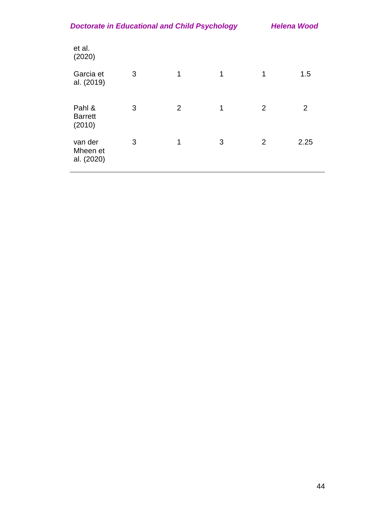| <b>Doctorate in Educational and Child Psychology</b> | <b>Helena Wood</b> |
|------------------------------------------------------|--------------------|
|                                                      |                    |

| et al.<br>(2020)                   |   |                |              |   |                |
|------------------------------------|---|----------------|--------------|---|----------------|
| Garcia et<br>al. (2019)            | 3 | $\mathbf 1$    | $\mathbf{1}$ | 1 | 1.5            |
| Pahl &<br><b>Barrett</b><br>(2010) | 3 | $\overline{2}$ | 1            | 2 | $\overline{2}$ |
| van der<br>Mheen et<br>al. (2020)  | 3 | 1              | 3            | 2 | 2.25           |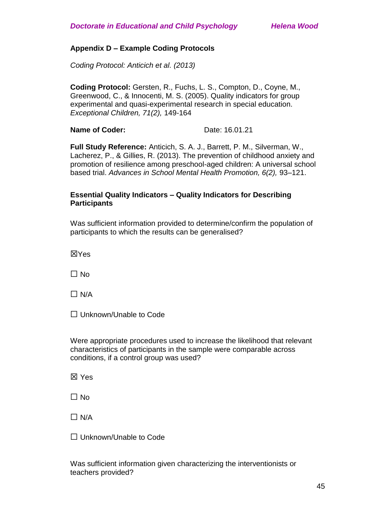### **Appendix D – Example Coding Protocols**

*Coding Protocol: Anticich et al. (2013)*

**Coding Protocol:** Gersten, R., Fuchs, L. S., Compton, D., Coyne, M., Greenwood, C., & Innocenti, M. S. (2005). Quality indicators for group experimental and quasi-experimental research in special education. *Exceptional Children, 71(2),* 149-164

**Name of Coder:** Date: 16.01.21

**Full Study Reference:** Anticich, S. A. J., Barrett, P. M., Silverman, W., Lacherez, P., & Gillies, R. (2013). The prevention of childhood anxiety and promotion of resilience among preschool-aged children: A universal school based trial. *Advances in School Mental Health Promotion, 6(2),* 93–121.

### **Essential Quality Indicators – Quality Indicators for Describing Participants**

Was sufficient information provided to determine/confirm the population of participants to which the results can be generalised?

☒Yes

 $\Box$  No

 $\Box$  N/A

☐ Unknown/Unable to Code

Were appropriate procedures used to increase the likelihood that relevant characteristics of participants in the sample were comparable across conditions, if a control group was used?

☒ Yes

 $\Box$  No

 $\Box$  N/A

☐ Unknown/Unable to Code

Was sufficient information given characterizing the interventionists or teachers provided?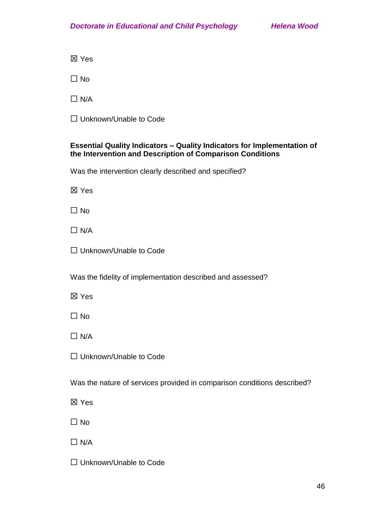☒ Yes

 $\Box$  No

 $\Box$  N/A

☐ Unknown/Unable to Code

# **Essential Quality Indicators – Quality Indicators for Implementation of the Intervention and Description of Comparison Conditions**

Was the intervention clearly described and specified?

☒ Yes

 $\Box$  No

 $\Box$  N/A

□ Unknown/Unable to Code

Was the fidelity of implementation described and assessed?

☒ Yes

 $\Box$  No

 $\Box$  N/A

☐ Unknown/Unable to Code

Was the nature of services provided in comparison conditions described?

☒ Yes

 $\Box$  No

 $\Box$  N/A

□ Unknown/Unable to Code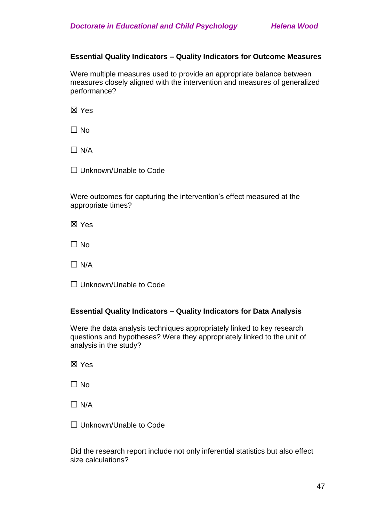### **Essential Quality Indicators – Quality Indicators for Outcome Measures**

Were multiple measures used to provide an appropriate balance between measures closely aligned with the intervention and measures of generalized performance?

☒ Yes

 $\Box$  No

 $\Box$  N/A

☐ Unknown/Unable to Code

Were outcomes for capturing the intervention's effect measured at the appropriate times?

☒ Yes

 $\Box$  No

 $\Box$  N/A

☐ Unknown/Unable to Code

### **Essential Quality Indicators – Quality Indicators for Data Analysis**

Were the data analysis techniques appropriately linked to key research questions and hypotheses? Were they appropriately linked to the unit of analysis in the study?

☒ Yes

☐ No

 $\Box$  N/A

□ Unknown/Unable to Code

Did the research report include not only inferential statistics but also effect size calculations?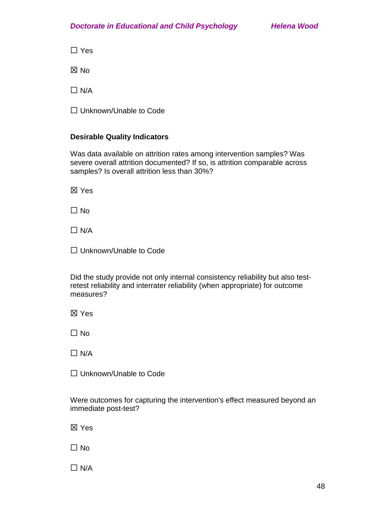☐ Yes

☒ No

 $\Box$  N/A

☐ Unknown/Unable to Code

# **Desirable Quality Indicators**

Was data available on attrition rates among intervention samples? Was severe overall attrition documented? If so, is attrition comparable across samples? Is overall attrition less than 30%?

☒ Yes

 $\Box$  No

 $\Box$  N/A

☐ Unknown/Unable to Code

Did the study provide not only internal consistency reliability but also testretest reliability and interrater reliability (when appropriate) for outcome measures?

☒ Yes

 $\Box$  No

 $\Box$  N/A

☐ Unknown/Unable to Code

Were outcomes for capturing the intervention's effect measured beyond an immediate post-test?

☒ Yes

☐ No

 $\Box$  N/A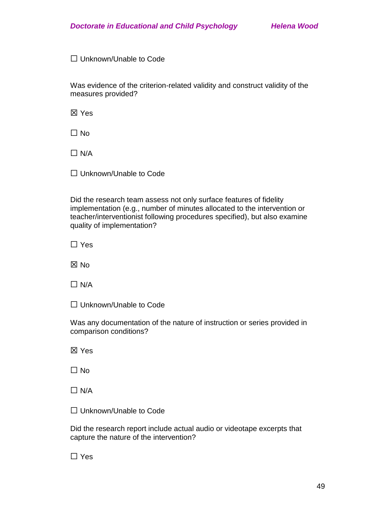☐ Unknown/Unable to Code

Was evidence of the criterion-related validity and construct validity of the measures provided?

☒ Yes

 $\Box$  No

 $\Box$  N/A

☐ Unknown/Unable to Code

Did the research team assess not only surface features of fidelity implementation (e.g., number of minutes allocated to the intervention or teacher/interventionist following procedures specified), but also examine quality of implementation?

☐ Yes

☒ No

 $\Box$  N/A

□ Unknown/Unable to Code

Was any documentation of the nature of instruction or series provided in comparison conditions?

☒ Yes

 $\Box$  No

 $\Box$  N/A

☐ Unknown/Unable to Code

Did the research report include actual audio or videotape excerpts that capture the nature of the intervention?

☐ Yes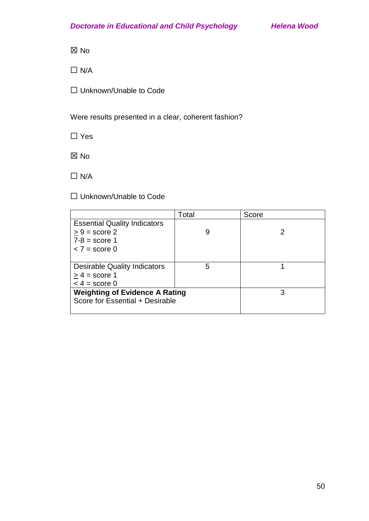☒ No

 $\Box$  N/A

☐ Unknown/Unable to Code

Were results presented in a clear, coherent fashion?

☐ Yes

☒ No

 $\Box$  N/A

☐ Unknown/Unable to Code

|                                       | Total | Score |
|---------------------------------------|-------|-------|
| <b>Essential Quality Indicators</b>   |       |       |
| $> 9$ = score 2                       | 9     |       |
| $7-8$ = score 1                       |       |       |
| $<$ 7 = score 0                       |       |       |
|                                       |       |       |
| <b>Desirable Quality Indicators</b>   | 5     |       |
| $> 4$ = score 1                       |       |       |
| $<$ 4 = score 0                       |       |       |
| <b>Weighting of Evidence A Rating</b> | 3     |       |
| Score for Essential + Desirable       |       |       |
|                                       |       |       |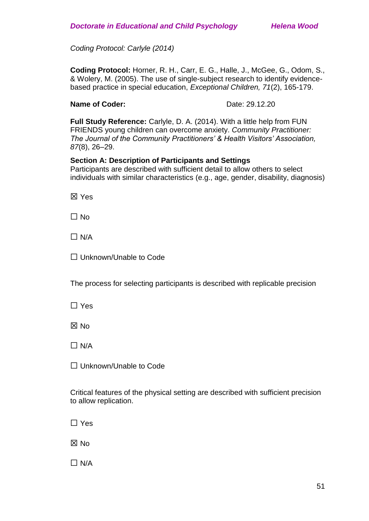*Coding Protocol: Carlyle (2014)*

**Coding Protocol:** Horner, R. H., Carr, E. G., Halle, J., McGee, G., Odom, S., & Wolery, M. (2005). The use of single-subject research to identify evidencebased practice in special education, *Exceptional Children, 71*(2), 165-179.

### **Name of Coder:** Date: 29.12.20

**Full Study Reference:** Carlyle, D. A. (2014). With a little help from FUN FRIENDS young children can overcome anxiety. *Community Practitioner: The Journal of the Community Practitioners' & Health Visitors' Association, 87*(8), 26–29.

### **Section A: Description of Participants and Settings**

Participants are described with sufficient detail to allow others to select individuals with similar characteristics (e.g., age, gender, disability, diagnosis)

☒ Yes

 $\Box$  No

 $\Box$  N/A

☐ Unknown/Unable to Code

The process for selecting participants is described with replicable precision

☐ Yes

☒ No

 $\Box$  N/A

□ Unknown/Unable to Code

Critical features of the physical setting are described with sufficient precision to allow replication.

☐ Yes

☒ No

 $\Box$  N/A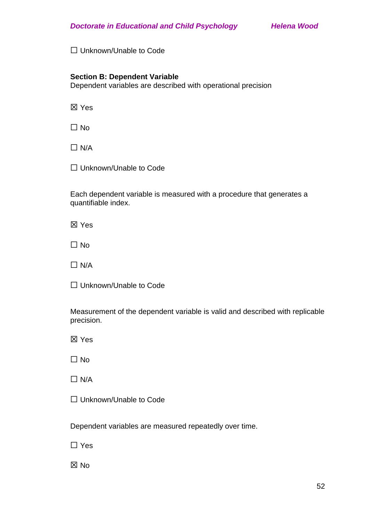□ Unknown/Unable to Code

### **Section B: Dependent Variable**

Dependent variables are described with operational precision

☒ Yes

 $\Box$  No

 $\Box$  N/A

□ Unknown/Unable to Code

Each dependent variable is measured with a procedure that generates a quantifiable index.

☒ Yes

 $\Box$  No

 $\Box$  N/A

□ Unknown/Unable to Code

Measurement of the dependent variable is valid and described with replicable precision.

☒ Yes

 $\Box$  No

 $\Box$  N/A

☐ Unknown/Unable to Code

Dependent variables are measured repeatedly over time.

☐ Yes

☒ No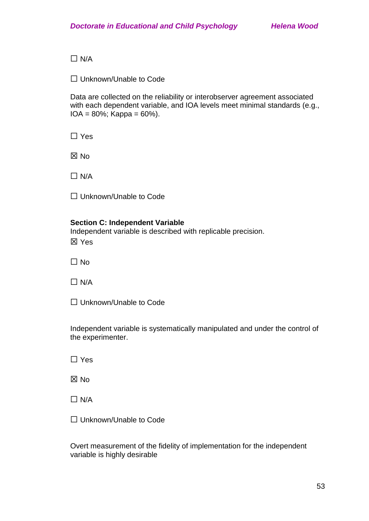$\Box$  N/A

☐ Unknown/Unable to Code

Data are collected on the reliability or interobserver agreement associated with each dependent variable, and IOA levels meet minimal standards (e.g.,  $IOA = 80\%$ ; Kappa = 60%).

☐ Yes

☒ No

 $\Box$  N/A

☐ Unknown/Unable to Code

### **Section C: Independent Variable**

Independent variable is described with replicable precision. ☒ Yes

☐ No

 $\Box$  N/A

☐ Unknown/Unable to Code

Independent variable is systematically manipulated and under the control of the experimenter.

☐ Yes

☒ No

 $\Box$  N/A

□ Unknown/Unable to Code

Overt measurement of the fidelity of implementation for the independent variable is highly desirable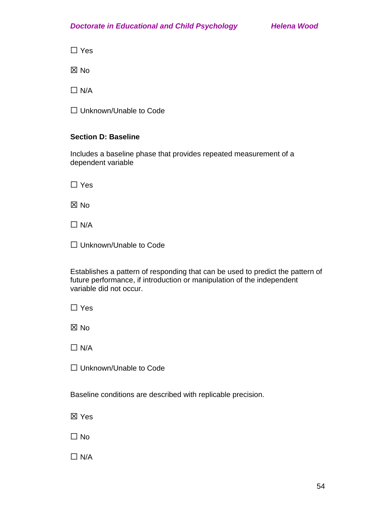☐ Yes

☒ No

 $\Box$  N/A

☐ Unknown/Unable to Code

# **Section D: Baseline**

Includes a baseline phase that provides repeated measurement of a dependent variable

☐ Yes

☒ No

 $\Box$  N/A

□ Unknown/Unable to Code

Establishes a pattern of responding that can be used to predict the pattern of future performance, if introduction or manipulation of the independent variable did not occur.

☐ Yes

☒ No

 $\Box$  N/A

☐ Unknown/Unable to Code

Baseline conditions are described with replicable precision.

☒ Yes

☐ No

 $\Box$  N/A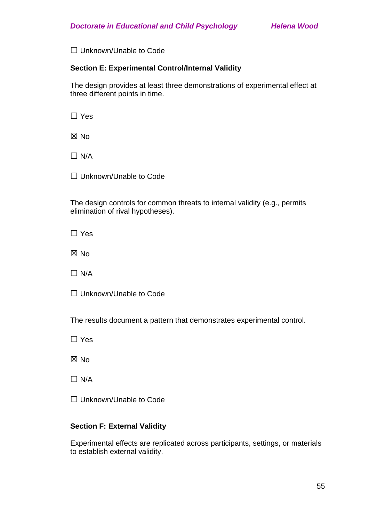□ Unknown/Unable to Code

### **Section E: Experimental Control/Internal Validity**

The design provides at least three demonstrations of experimental effect at three different points in time.

☐ Yes

☒ No

 $\Box$  N/A

□ Unknown/Unable to Code

The design controls for common threats to internal validity (e.g., permits elimination of rival hypotheses).

☐ Yes

☒ No

 $\Box$  N/A

□ Unknown/Unable to Code

The results document a pattern that demonstrates experimental control.

☐ Yes

☒ No

 $\Box$  N/A

☐ Unknown/Unable to Code

# **Section F: External Validity**

Experimental effects are replicated across participants, settings, or materials to establish external validity.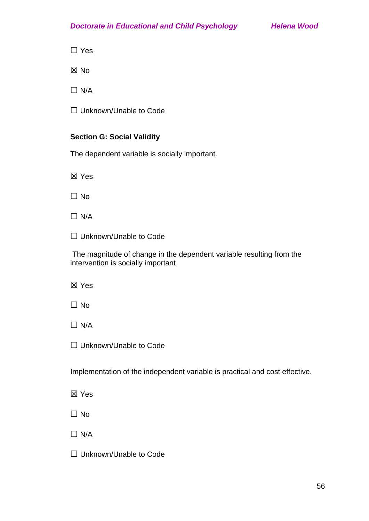☐ Yes

☒ No

 $\Box$  N/A

☐ Unknown/Unable to Code

# **Section G: Social Validity**

The dependent variable is socially important.

☒ Yes

☐ No

 $\Box$  N/A

☐ Unknown/Unable to Code

The magnitude of change in the dependent variable resulting from the intervention is socially important

☒ Yes

☐ No

 $\Box$  N/A

☐ Unknown/Unable to Code

Implementation of the independent variable is practical and cost effective.

☒ Yes

 $\Box$  No

 $\Box$  N/A

☐ Unknown/Unable to Code